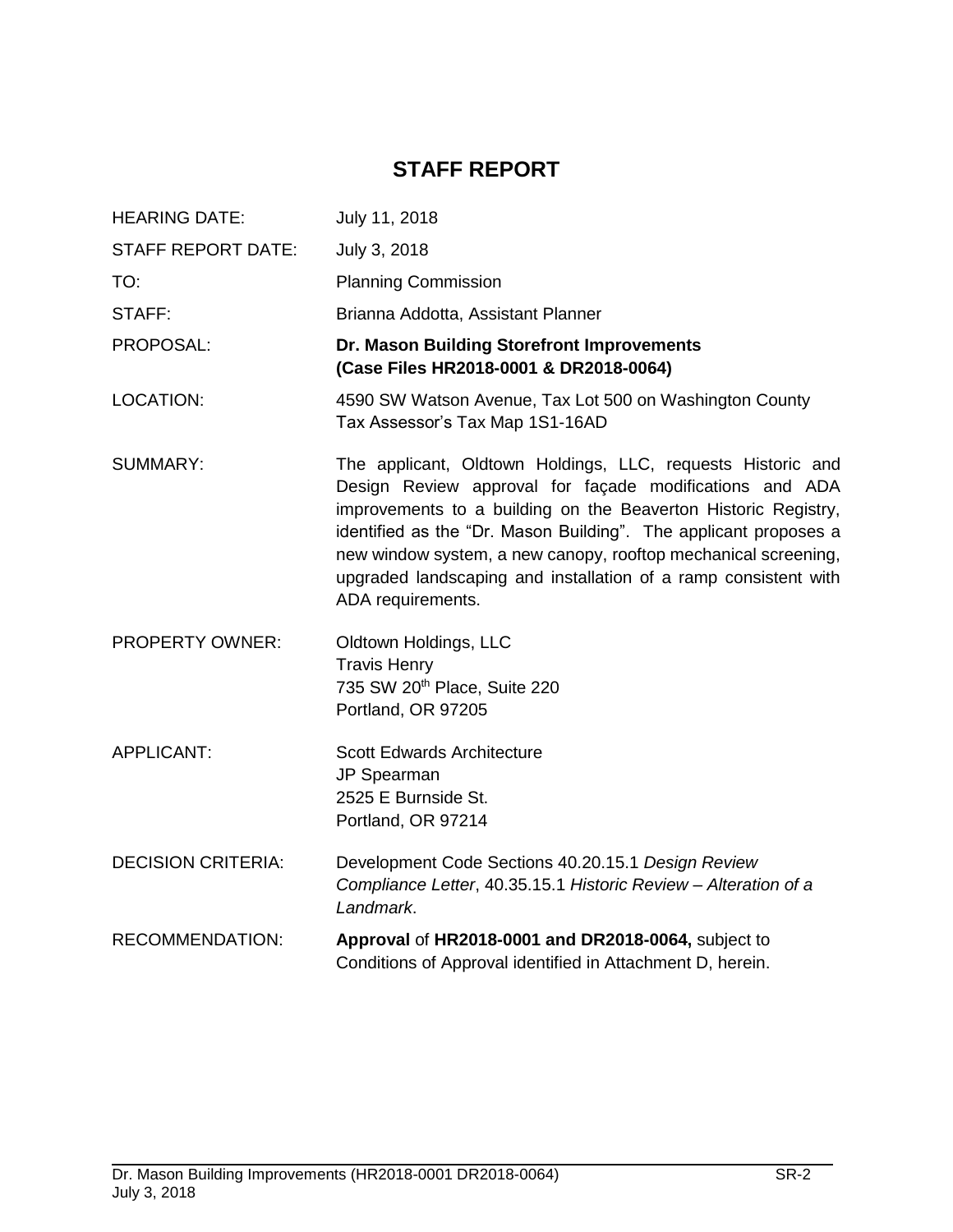# **STAFF REPORT**

| <b>HEARING DATE:</b>      | July 11, 2018                                                                                                                                                                                                                                                                                                                                                                                                          |
|---------------------------|------------------------------------------------------------------------------------------------------------------------------------------------------------------------------------------------------------------------------------------------------------------------------------------------------------------------------------------------------------------------------------------------------------------------|
| <b>STAFF REPORT DATE:</b> | July 3, 2018                                                                                                                                                                                                                                                                                                                                                                                                           |
| TO:                       | <b>Planning Commission</b>                                                                                                                                                                                                                                                                                                                                                                                             |
| STAFF:                    | Brianna Addotta, Assistant Planner                                                                                                                                                                                                                                                                                                                                                                                     |
| PROPOSAL:                 | Dr. Mason Building Storefront Improvements<br>(Case Files HR2018-0001 & DR2018-0064)                                                                                                                                                                                                                                                                                                                                   |
| <b>LOCATION:</b>          | 4590 SW Watson Avenue, Tax Lot 500 on Washington County<br>Tax Assessor's Tax Map 1S1-16AD                                                                                                                                                                                                                                                                                                                             |
| <b>SUMMARY:</b>           | The applicant, Oldtown Holdings, LLC, requests Historic and<br>Design Review approval for façade modifications and ADA<br>improvements to a building on the Beaverton Historic Registry,<br>identified as the "Dr. Mason Building". The applicant proposes a<br>new window system, a new canopy, rooftop mechanical screening,<br>upgraded landscaping and installation of a ramp consistent with<br>ADA requirements. |
| <b>PROPERTY OWNER:</b>    | Oldtown Holdings, LLC<br><b>Travis Henry</b><br>735 SW 20 <sup>th</sup> Place, Suite 220<br>Portland, OR 97205                                                                                                                                                                                                                                                                                                         |
| <b>APPLICANT:</b>         | <b>Scott Edwards Architecture</b><br>JP Spearman<br>2525 E Burnside St.<br>Portland, OR 97214                                                                                                                                                                                                                                                                                                                          |
| <b>DECISION CRITERIA:</b> | Development Code Sections 40.20.15.1 Design Review<br>Compliance Letter, 40.35.15.1 Historic Review - Alteration of a<br>Landmark.                                                                                                                                                                                                                                                                                     |
| <b>RECOMMENDATION:</b>    | Approval of HR2018-0001 and DR2018-0064, subject to<br>Conditions of Approval identified in Attachment D, herein.                                                                                                                                                                                                                                                                                                      |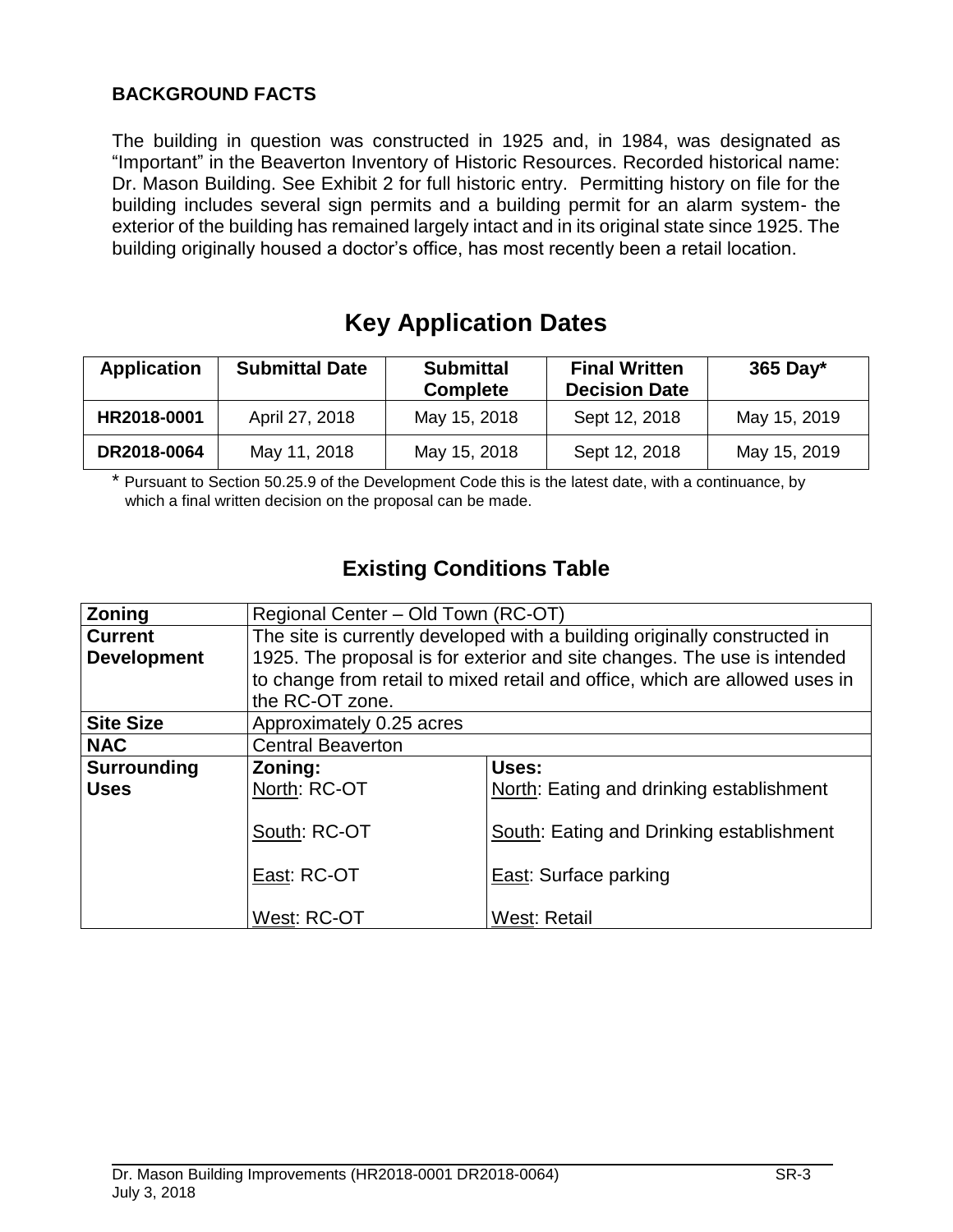# **BACKGROUND FACTS**

The building in question was constructed in 1925 and, in 1984, was designated as "Important" in the Beaverton Inventory of Historic Resources. Recorded historical name: Dr. Mason Building. See Exhibit 2 for full historic entry. Permitting history on file for the building includes several sign permits and a building permit for an alarm system- the exterior of the building has remained largely intact and in its original state since 1925. The building originally housed a doctor's office, has most recently been a retail location.

# **Key Application Dates**

| <b>Application</b> | <b>Submittal Date</b> | <b>Submittal</b><br><b>Complete</b> | <b>Final Written</b><br><b>Decision Date</b> | 365 Day $*$  |
|--------------------|-----------------------|-------------------------------------|----------------------------------------------|--------------|
| HR2018-0001        | April 27, 2018        | May 15, 2018                        | Sept 12, 2018                                | May 15, 2019 |
| DR2018-0064        | May 11, 2018          | May 15, 2018                        | Sept 12, 2018                                | May 15, 2019 |

\* Pursuant to Section 50.25.9 of the Development Code this is the latest date, with a continuance, by which a final written decision on the proposal can be made.

# **Existing Conditions Table**

| Zoning             | Regional Center - Old Town (RC-OT) |                                                                             |  |
|--------------------|------------------------------------|-----------------------------------------------------------------------------|--|
| <b>Current</b>     |                                    | The site is currently developed with a building originally constructed in   |  |
| <b>Development</b> |                                    | 1925. The proposal is for exterior and site changes. The use is intended    |  |
|                    |                                    | to change from retail to mixed retail and office, which are allowed uses in |  |
|                    | the RC-OT zone.                    |                                                                             |  |
| <b>Site Size</b>   | Approximately 0.25 acres           |                                                                             |  |
| <b>NAC</b>         | <b>Central Beaverton</b>           |                                                                             |  |
| <b>Surrounding</b> | Zoning:                            | Uses:                                                                       |  |
| <b>Uses</b>        | North: RC-OT                       | North: Eating and drinking establishment                                    |  |
|                    |                                    |                                                                             |  |
|                    | South: RC-OT                       | South: Eating and Drinking establishment                                    |  |
|                    |                                    |                                                                             |  |
|                    | East: RC-OT                        | East: Surface parking                                                       |  |
|                    |                                    |                                                                             |  |
|                    | West: RC-OT                        | West: Retail                                                                |  |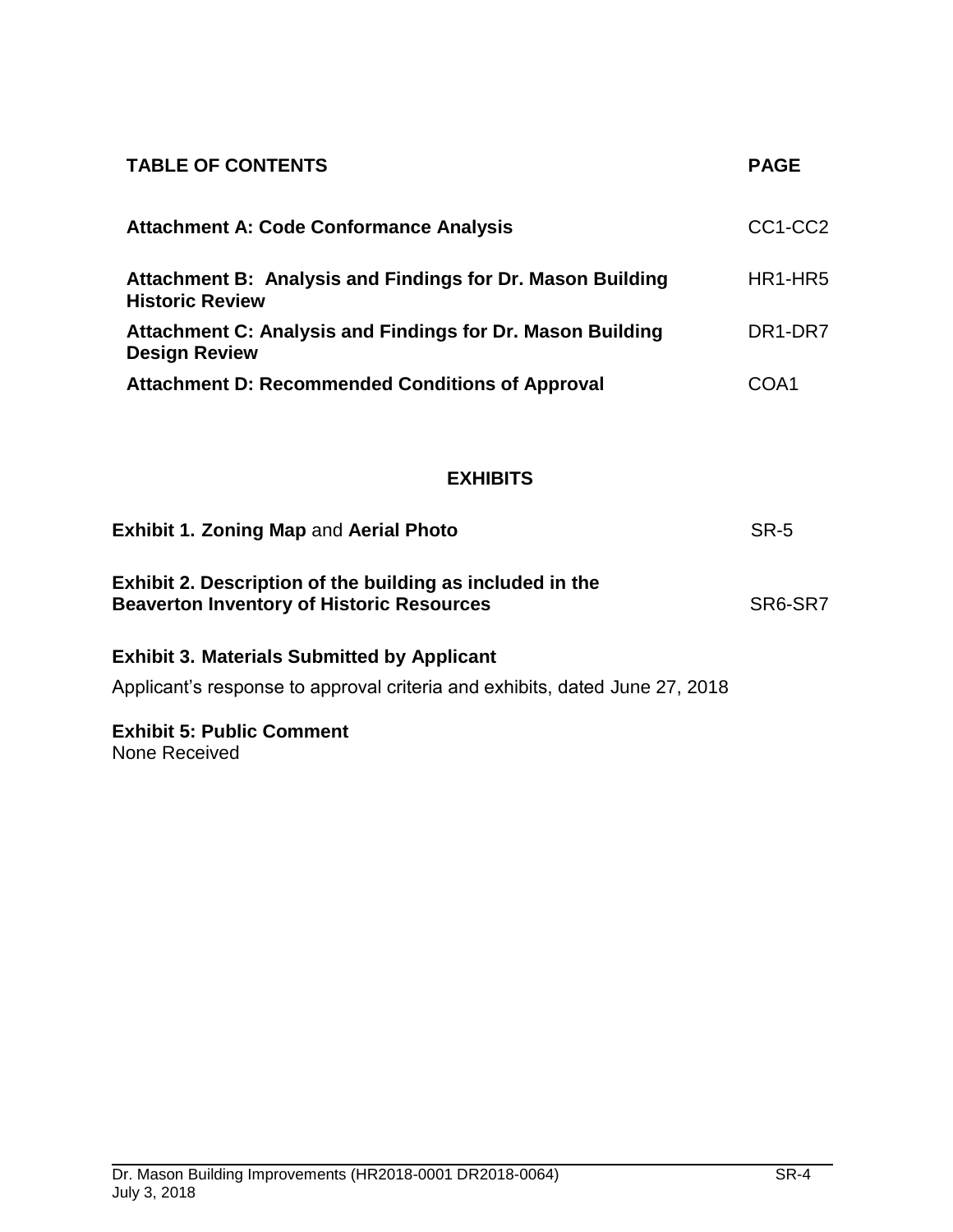| <b>TABLE OF CONTENTS</b>                                                             | <b>PAGE</b>                      |
|--------------------------------------------------------------------------------------|----------------------------------|
| <b>Attachment A: Code Conformance Analysis</b>                                       | CC <sub>1</sub> -CC <sub>2</sub> |
| Attachment B: Analysis and Findings for Dr. Mason Building<br><b>Historic Review</b> | HR <sub>1</sub> -HR <sub>5</sub> |
| Attachment C: Analysis and Findings for Dr. Mason Building<br><b>Design Review</b>   | DR <sub>1</sub> -DR <sub>7</sub> |
| <b>Attachment D: Recommended Conditions of Approval</b>                              | COA1                             |

# **EXHIBITS**

| <b>Exhibit 1. Zoning Map and Aerial Photo</b>                                                                 | SR-5    |
|---------------------------------------------------------------------------------------------------------------|---------|
| Exhibit 2. Description of the building as included in the<br><b>Beaverton Inventory of Historic Resources</b> | SR6-SR7 |

# **Exhibit 3. Materials Submitted by Applicant**

Applicant's response to approval criteria and exhibits, dated June 27, 2018

# **Exhibit 5: Public Comment**

None Received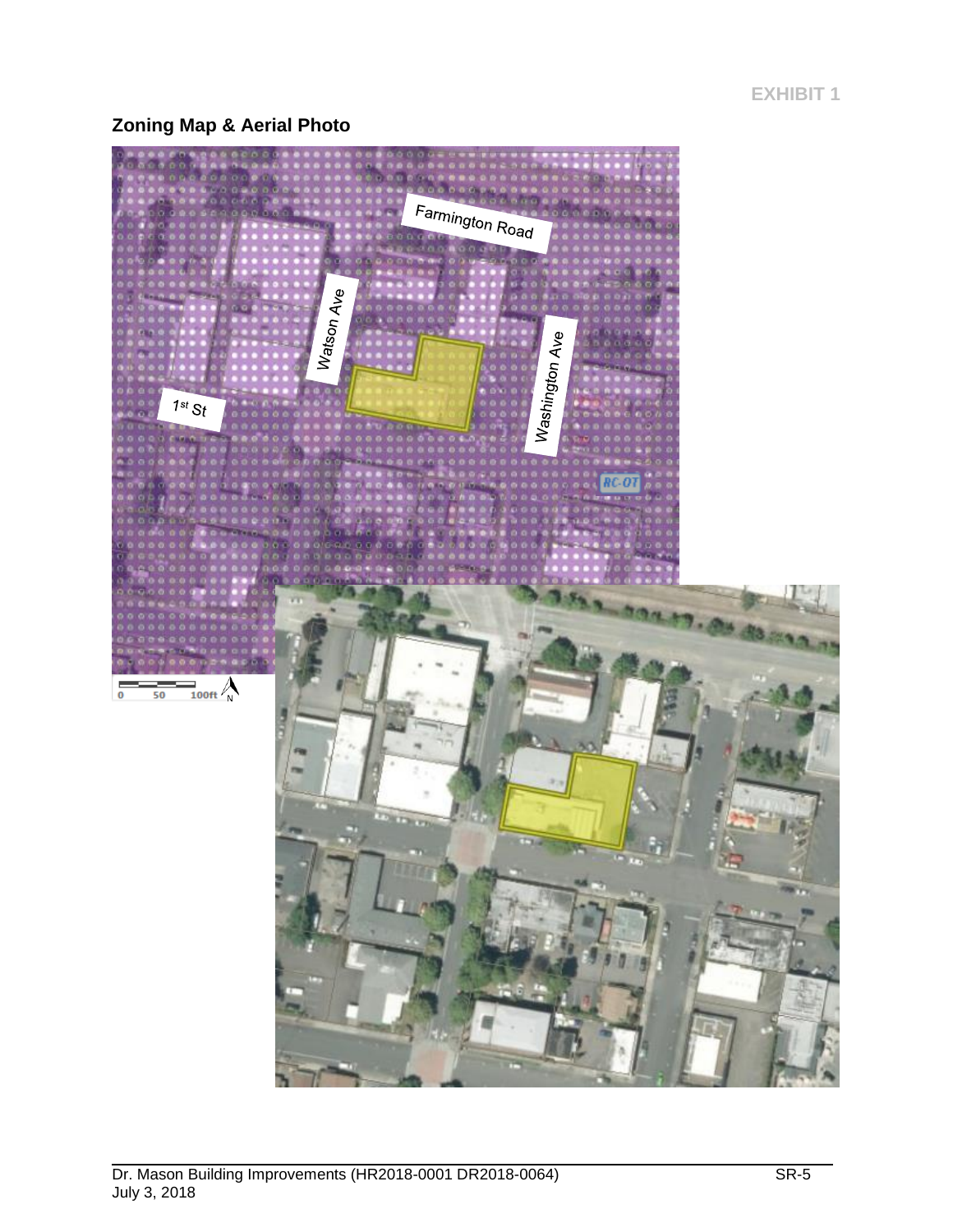**EXHIBIT 1**

# **Zoning Map & Aerial Photo**

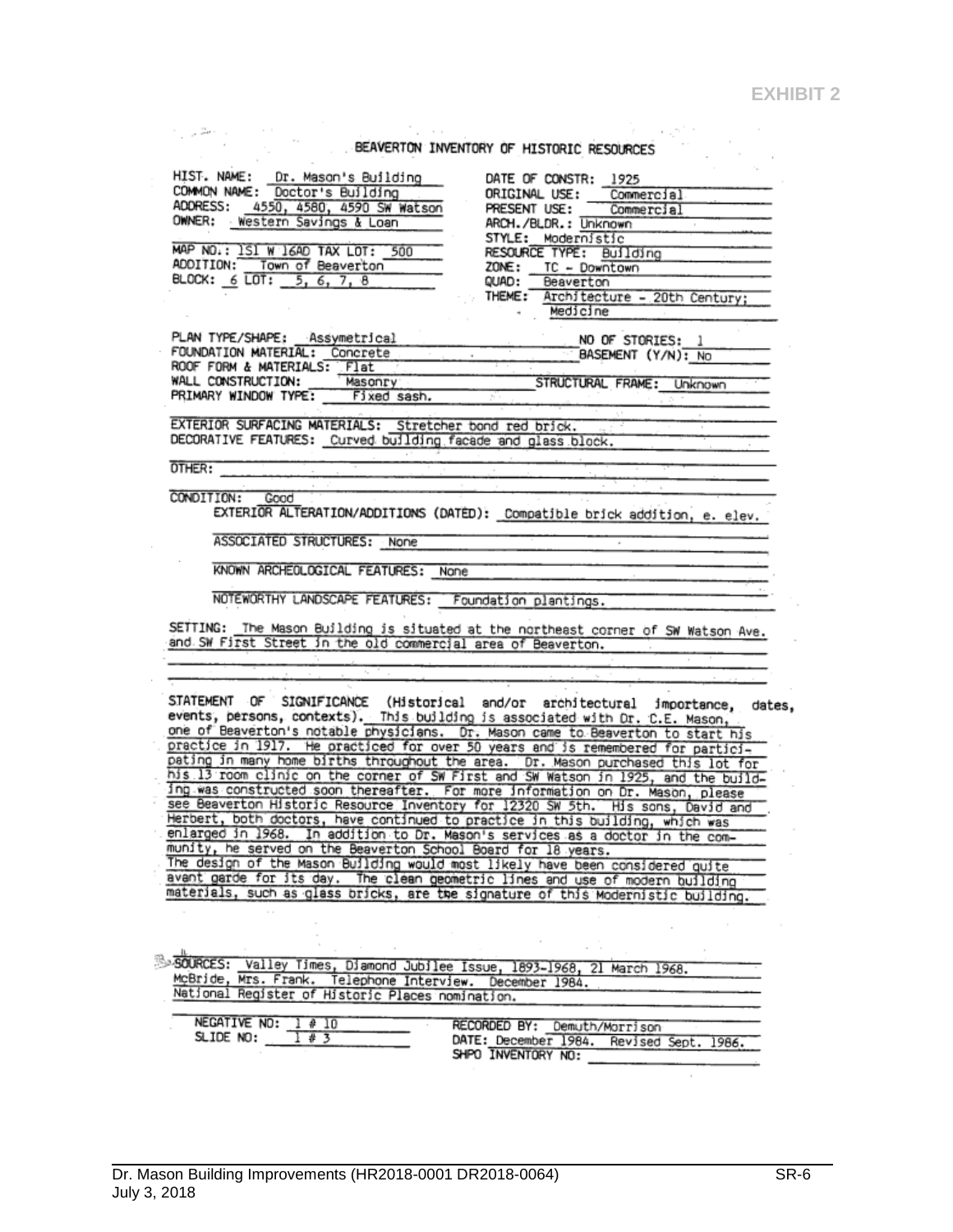$\mathcal{O}(\sqrt{N})$ 

# BEAVERTON INVENTORY OF HISTORIC RESOURCES

|                                                                                                                                                                        | BEAVERTON INVENTORY OF HISTORIC RESOURCES                                         |
|------------------------------------------------------------------------------------------------------------------------------------------------------------------------|-----------------------------------------------------------------------------------|
| HIST. NAME: Dr. Mason's Building<br>COMMON NAME: Doctor's Building                                                                                                     | DATE OF CONSTR: 1925<br>ORIGINAL USE: Commercial                                  |
| ADDRESS: 4550, 4580, 4590 SW Watson                                                                                                                                    | PRESENT USE: Commercial                                                           |
| OWNER: Western Savings & Loan                                                                                                                                          | ARCH./BLDR.: Unknown                                                              |
|                                                                                                                                                                        | STYLE: Modernistic                                                                |
| MAP NO.: ISI W 16AD TAX LOT: 500                                                                                                                                       | RESOURCE TYPE: Building                                                           |
| ADDITION: Town of Beaverton                                                                                                                                            | ZONE: TC - Downtown                                                               |
| BLOCK: 6 LOT: 5, 6, 7, 8                                                                                                                                               | QUAD: Beaverton                                                                   |
|                                                                                                                                                                        | THEME: Architecture - 20th Century;                                               |
|                                                                                                                                                                        | Medicine                                                                          |
|                                                                                                                                                                        |                                                                                   |
| PLAN TYPE/SHAPE: Assymetrical                                                                                                                                          | NO OF STORIES: 1                                                                  |
| FOUNDATION MATERIAL: Concrete Contract Contract CONSEMENT (Y/N): No                                                                                                    |                                                                                   |
| ROOF FORM & MATERIALS: Flat                                                                                                                                            | Masonry STRUCTURAL FRAME: Unknown                                                 |
| WALL CONSTRUCTION:<br>PRIMARY WINDOW TYPE: Fixed sash.                                                                                                                 |                                                                                   |
|                                                                                                                                                                        |                                                                                   |
| EXTERIOR SURFACING MATERIALS: Stretcher bond red brick.                                                                                                                |                                                                                   |
| DECORATIVE FEATURES: Curved building facade and glass block.                                                                                                           |                                                                                   |
|                                                                                                                                                                        |                                                                                   |
| <b>OTHER:</b>                                                                                                                                                          |                                                                                   |
|                                                                                                                                                                        |                                                                                   |
| CONDITION: Good                                                                                                                                                        |                                                                                   |
|                                                                                                                                                                        | EXTERIOR ALTERATION/ADDITIONS (DATED): Compatible brick addition, e. elev.        |
| ASSOCIATED STRUCTURES: None                                                                                                                                            |                                                                                   |
| KNOWN ARCHEOLOGICAL FEATURES: None                                                                                                                                     |                                                                                   |
| NOTEWORTHY LANDSCAPE FEATURES: Foundation plantings.                                                                                                                   |                                                                                   |
|                                                                                                                                                                        |                                                                                   |
| and SW First Street in the old commercial area of Beaverton.                                                                                                           | SETTING: The Mason Building is situated at the northeast corner of SW Watson Ave. |
|                                                                                                                                                                        |                                                                                   |
|                                                                                                                                                                        |                                                                                   |
| events, persons, contexts). This building is associated with Dr. C.E. Mason,<br>one of Beaverton's notable physicians. Dr. Mason came to Beaverton to start his        | STATEMENT OF SIGNIFICANCE (Historical and/or architectural importance, dates,     |
| practice in 1917. He practiced for over 50 years and is remembered for partici-                                                                                        |                                                                                   |
| pating in many home births throughout the area. Dr. Mason purchased this lot for<br>his 13 room clinic on the corner of SW First and SW Watson in 1925, and the build- |                                                                                   |
| ing was constructed soon thereafter. For more information on Dr. Mason, please                                                                                         |                                                                                   |
| see Beaverton Historic Resource Inventory for 12320 SW 5th. His sons, David and                                                                                        |                                                                                   |
| Herbert, both doctors, have continued to practice in this building, which was                                                                                          |                                                                                   |
| enlarged in 1968. In addition to Dr. Mason's services as a doctor in the com-                                                                                          |                                                                                   |
| munity, he served on the Beaverton School Board for 18 years.                                                                                                          |                                                                                   |
| The design of the Mason Building would most likely have been considered quite                                                                                          |                                                                                   |
| avant garde for its day. The clean geometric lines and use of modern building                                                                                          |                                                                                   |
| materials, such as glass bricks, are the signature of this Modernistic building.                                                                                       |                                                                                   |
|                                                                                                                                                                        |                                                                                   |
|                                                                                                                                                                        |                                                                                   |
|                                                                                                                                                                        |                                                                                   |
|                                                                                                                                                                        |                                                                                   |
| SOURCES: Valley Times, Diamond Jubilee Issue, 1893-1968, 21 March 1968.                                                                                                |                                                                                   |
| McBride, Mrs. Frank. Telephone Interview. December 1984.                                                                                                               |                                                                                   |
| National Register of Historic Places nomination.                                                                                                                       |                                                                                   |
| NEGATIVE NO: 1 # 10                                                                                                                                                    |                                                                                   |
| SLIDE NO:<br>1 # 3                                                                                                                                                     | RECORDED BY: Demuth/Morrison                                                      |
|                                                                                                                                                                        | DATE: December 1984. Revised Sept. 1986.                                          |
|                                                                                                                                                                        | SHPO INVENTORY NO:                                                                |
|                                                                                                                                                                        |                                                                                   |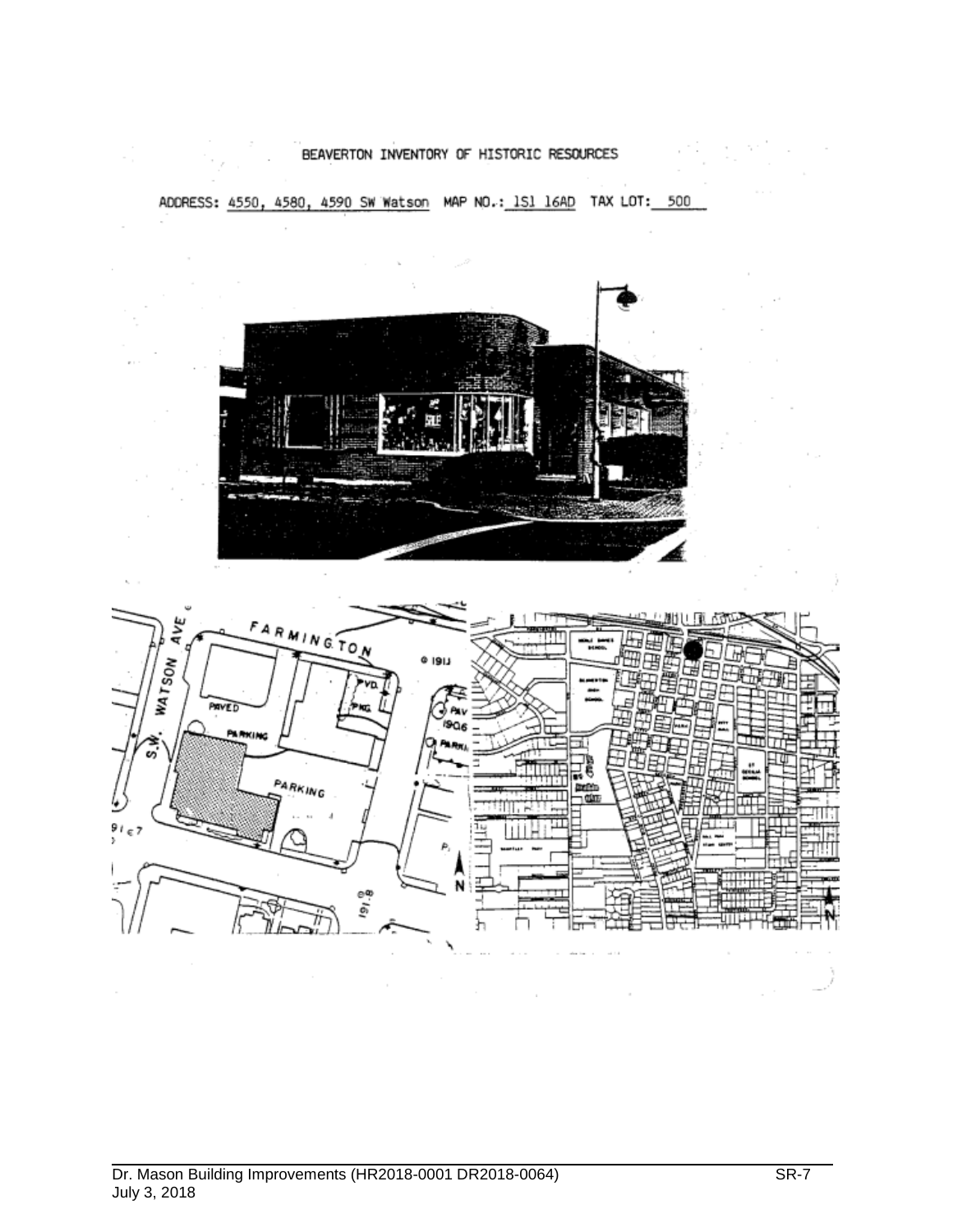#### BEAVERTON INVENTORY OF HISTORIC RESOURCES

ADDRESS: 4550, 4580, 4590 SW Watson MAP NO.: 1S1 16AD TAX LOT: 500



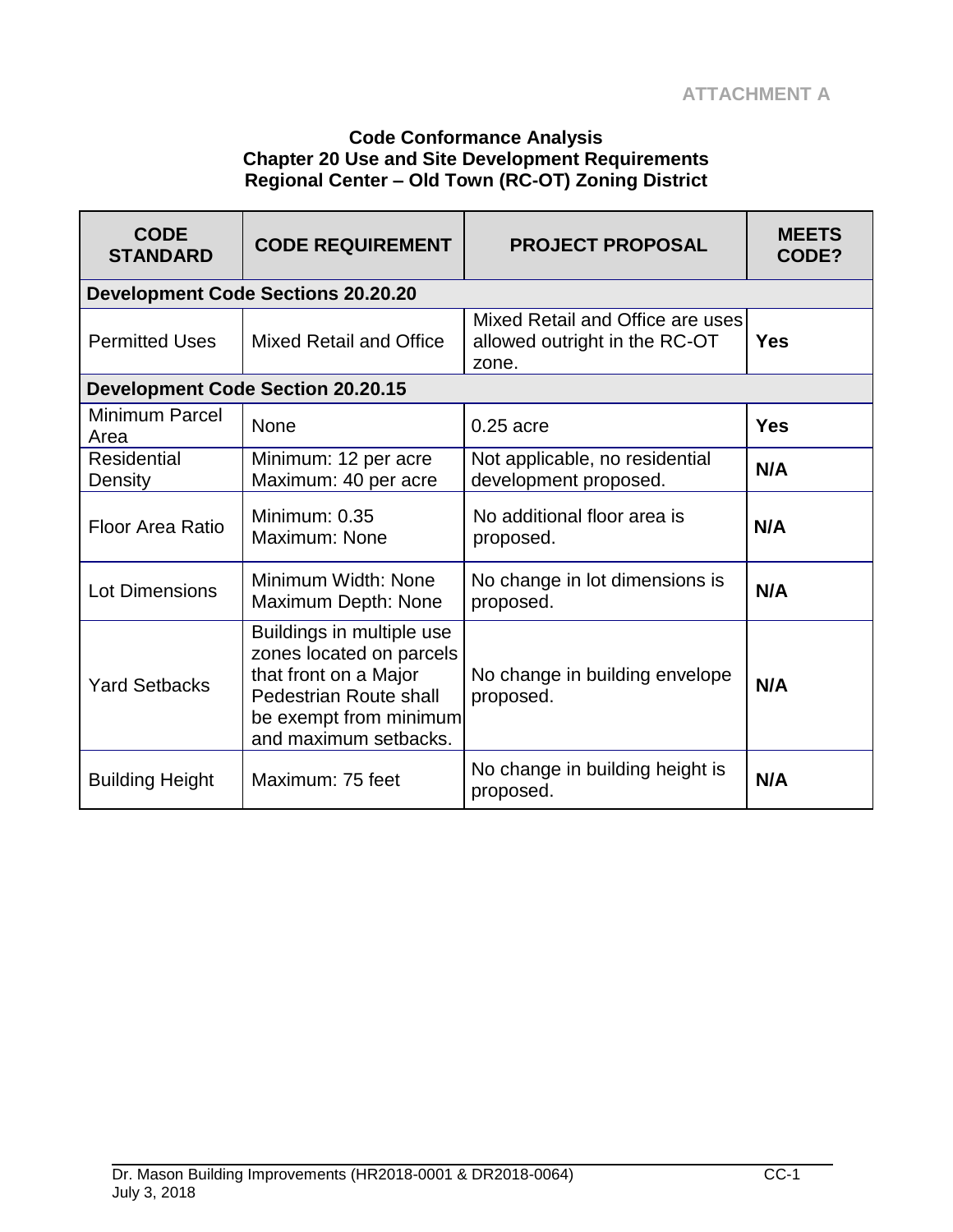#### **Code Conformance Analysis Chapter 20 Use and Site Development Requirements Regional Center – Old Town (RC-OT) Zoning District**

| <b>CODE</b><br><b>STANDARD</b> | <b>CODE REQUIREMENT</b>                                                                                                                                     | <b>PROJECT PROPOSAL</b>                                                    | <b>MEETS</b><br>CODE? |
|--------------------------------|-------------------------------------------------------------------------------------------------------------------------------------------------------------|----------------------------------------------------------------------------|-----------------------|
|                                | <b>Development Code Sections 20.20.20</b>                                                                                                                   |                                                                            |                       |
| <b>Permitted Uses</b>          | <b>Mixed Retail and Office</b>                                                                                                                              | Mixed Retail and Office are uses<br>allowed outright in the RC-OT<br>zone. | Yes                   |
|                                | <b>Development Code Section 20.20.15</b>                                                                                                                    |                                                                            |                       |
| <b>Minimum Parcel</b><br>Area  | <b>None</b>                                                                                                                                                 | $0.25$ acre                                                                | <b>Yes</b>            |
| <b>Residential</b><br>Density  | Minimum: 12 per acre<br>Maximum: 40 per acre                                                                                                                | Not applicable, no residential<br>development proposed.                    | N/A                   |
| <b>Floor Area Ratio</b>        | Minimum: 0.35<br>Maximum: None                                                                                                                              | No additional floor area is<br>proposed.                                   | N/A                   |
| <b>Lot Dimensions</b>          | Minimum Width: None<br>Maximum Depth: None                                                                                                                  | No change in lot dimensions is<br>proposed.                                | N/A                   |
| <b>Yard Setbacks</b>           | Buildings in multiple use<br>zones located on parcels<br>that front on a Major<br>Pedestrian Route shall<br>be exempt from minimum<br>and maximum setbacks. | No change in building envelope<br>proposed.                                | N/A                   |
| <b>Building Height</b>         | Maximum: 75 feet                                                                                                                                            | No change in building height is<br>proposed.                               | N/A                   |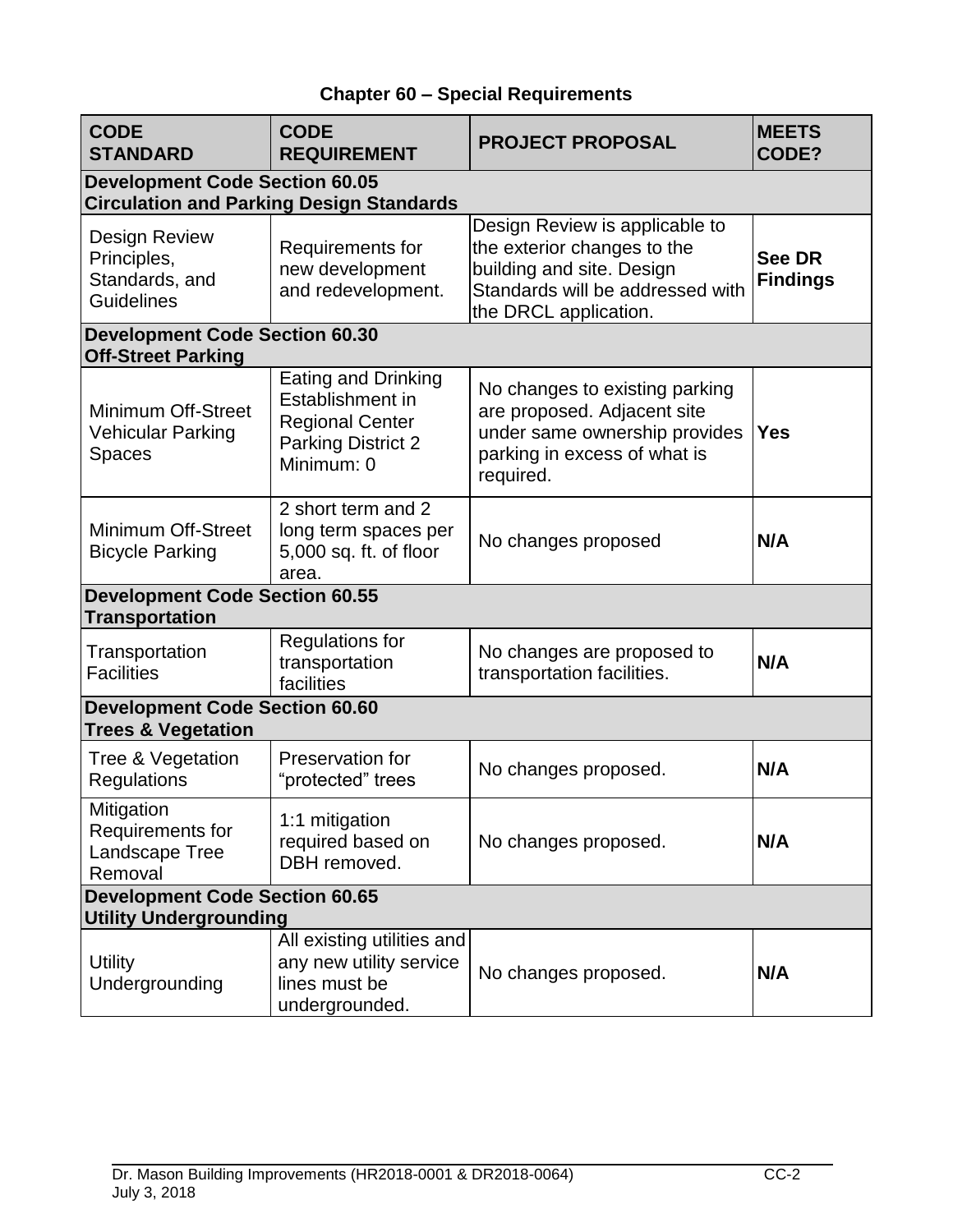# **Chapter 60 – Special Requirements**

| <b>CODE</b><br><b>STANDARD</b>                                             | <b>CODE</b><br><b>REQUIREMENT</b>                                                                            | <b>PROJECT PROPOSAL</b>                                                                                                                                 | <b>MEETS</b><br>CODE?     |
|----------------------------------------------------------------------------|--------------------------------------------------------------------------------------------------------------|---------------------------------------------------------------------------------------------------------------------------------------------------------|---------------------------|
| <b>Development Code Section 60.05</b>                                      | <b>Circulation and Parking Design Standards</b>                                                              |                                                                                                                                                         |                           |
| <b>Design Review</b><br>Principles,<br>Standards, and<br><b>Guidelines</b> | Requirements for<br>new development<br>and redevelopment.                                                    | Design Review is applicable to<br>the exterior changes to the<br>building and site. Design<br>Standards will be addressed with<br>the DRCL application. | See DR<br><b>Findings</b> |
| <b>Development Code Section 60.30</b><br><b>Off-Street Parking</b>         |                                                                                                              |                                                                                                                                                         |                           |
| <b>Minimum Off-Street</b><br><b>Vehicular Parking</b><br><b>Spaces</b>     | Eating and Drinking<br>Establishment in<br><b>Regional Center</b><br><b>Parking District 2</b><br>Minimum: 0 | No changes to existing parking<br>are proposed. Adjacent site<br>under same ownership provides<br>parking in excess of what is<br>required.             | <b>Yes</b>                |
| <b>Minimum Off-Street</b><br><b>Bicycle Parking</b>                        | 2 short term and 2<br>long term spaces per<br>5,000 sq. ft. of floor<br>area.                                | No changes proposed                                                                                                                                     | N/A                       |
| <b>Development Code Section 60.55</b><br><b>Transportation</b>             |                                                                                                              |                                                                                                                                                         |                           |
| Transportation<br><b>Facilities</b>                                        | <b>Regulations for</b><br>transportation<br>facilities                                                       | No changes are proposed to<br>transportation facilities.                                                                                                | N/A                       |
| <b>Development Code Section 60.60</b><br><b>Trees &amp; Vegetation</b>     |                                                                                                              |                                                                                                                                                         |                           |
| Tree & Vegetation<br>Regulations                                           | Preservation for<br>"protected" trees                                                                        | No changes proposed.                                                                                                                                    | N/A                       |
| Mitigation<br>Requirements for<br>Landscape Tree<br>Removal                | 1:1 mitigation<br>required based on<br>DBH removed.                                                          | No changes proposed.                                                                                                                                    | N/A                       |
| <b>Development Code Section 60.65</b><br><b>Utility Undergrounding</b>     |                                                                                                              |                                                                                                                                                         |                           |
| <b>Utility</b><br>Undergrounding                                           | All existing utilities and<br>any new utility service<br>lines must be<br>undergrounded.                     | No changes proposed.                                                                                                                                    | N/A                       |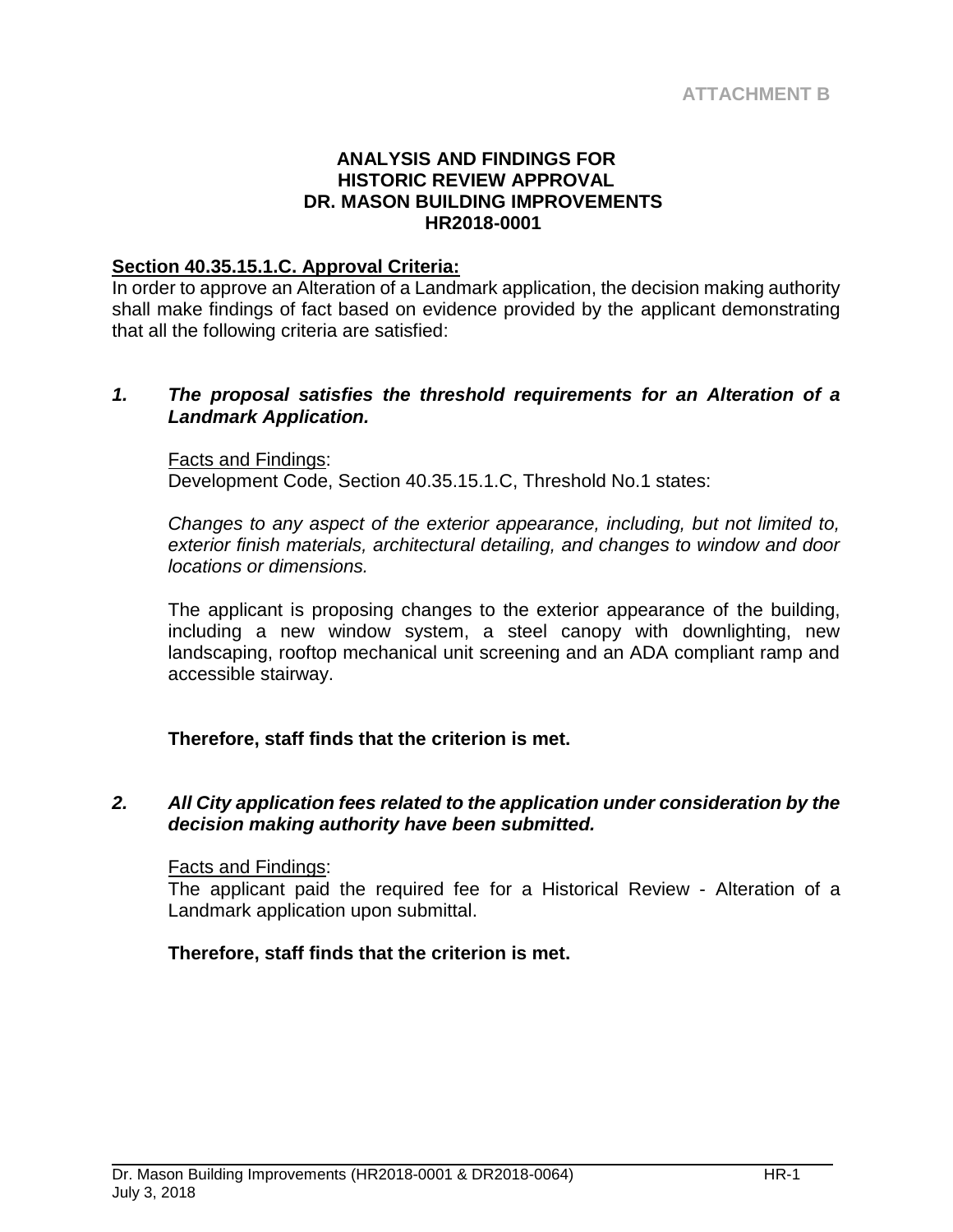#### **ANALYSIS AND FINDINGS FOR HISTORIC REVIEW APPROVAL DR. MASON BUILDING IMPROVEMENTS HR2018-0001**

#### **Section 40.35.15.1.C. Approval Criteria:**

In order to approve an Alteration of a Landmark application, the decision making authority shall make findings of fact based on evidence provided by the applicant demonstrating that all the following criteria are satisfied:

#### *1. The proposal satisfies the threshold requirements for an Alteration of a Landmark Application.*

#### Facts and Findings:

Development Code, Section 40.35.15.1.C, Threshold No.1 states:

*Changes to any aspect of the exterior appearance, including, but not limited to, exterior finish materials, architectural detailing, and changes to window and door locations or dimensions.*

The applicant is proposing changes to the exterior appearance of the building, including a new window system, a steel canopy with downlighting, new landscaping, rooftop mechanical unit screening and an ADA compliant ramp and accessible stairway.

# **Therefore, staff finds that the criterion is met.**

#### *2. All City application fees related to the application under consideration by the decision making authority have been submitted.*

#### Facts and Findings:

The applicant paid the required fee for a Historical Review - Alteration of a Landmark application upon submittal.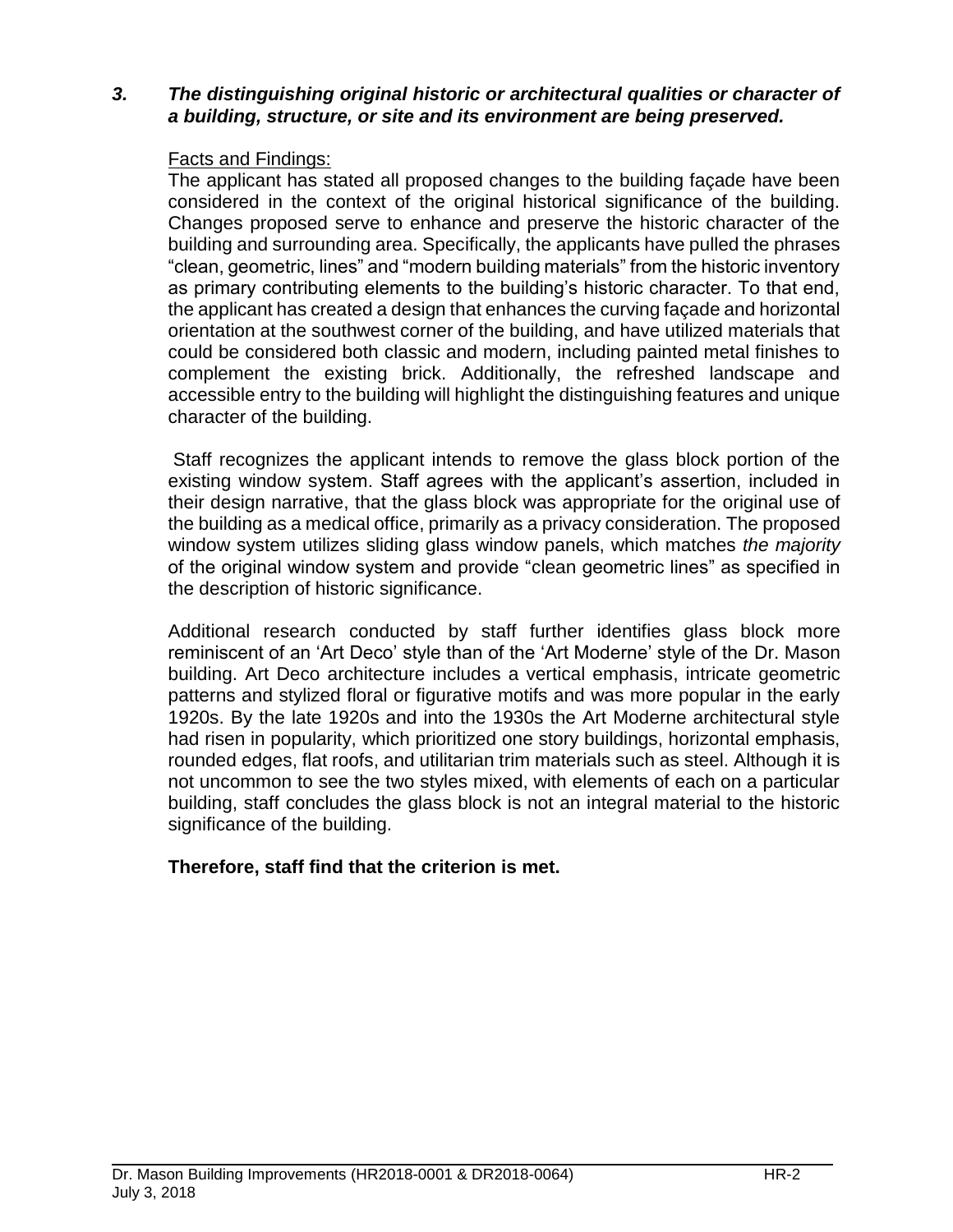## *3. The distinguishing original historic or architectural qualities or character of a building, structure, or site and its environment are being preserved.*

## Facts and Findings:

The applicant has stated all proposed changes to the building façade have been considered in the context of the original historical significance of the building. Changes proposed serve to enhance and preserve the historic character of the building and surrounding area. Specifically, the applicants have pulled the phrases "clean, geometric, lines" and "modern building materials" from the historic inventory as primary contributing elements to the building's historic character. To that end, the applicant has created a design that enhances the curving façade and horizontal orientation at the southwest corner of the building, and have utilized materials that could be considered both classic and modern, including painted metal finishes to complement the existing brick. Additionally, the refreshed landscape and accessible entry to the building will highlight the distinguishing features and unique character of the building.

Staff recognizes the applicant intends to remove the glass block portion of the existing window system. Staff agrees with the applicant's assertion, included in their design narrative, that the glass block was appropriate for the original use of the building as a medical office, primarily as a privacy consideration. The proposed window system utilizes sliding glass window panels, which matches *the majority* of the original window system and provide "clean geometric lines" as specified in the description of historic significance.

Additional research conducted by staff further identifies glass block more reminiscent of an 'Art Deco' style than of the 'Art Moderne' style of the Dr. Mason building. Art Deco architecture includes a vertical emphasis, intricate geometric patterns and stylized floral or figurative motifs and was more popular in the early 1920s. By the late 1920s and into the 1930s the Art Moderne architectural style had risen in popularity, which prioritized one story buildings, horizontal emphasis, rounded edges, flat roofs, and utilitarian trim materials such as steel. Although it is not uncommon to see the two styles mixed, with elements of each on a particular building, staff concludes the glass block is not an integral material to the historic significance of the building.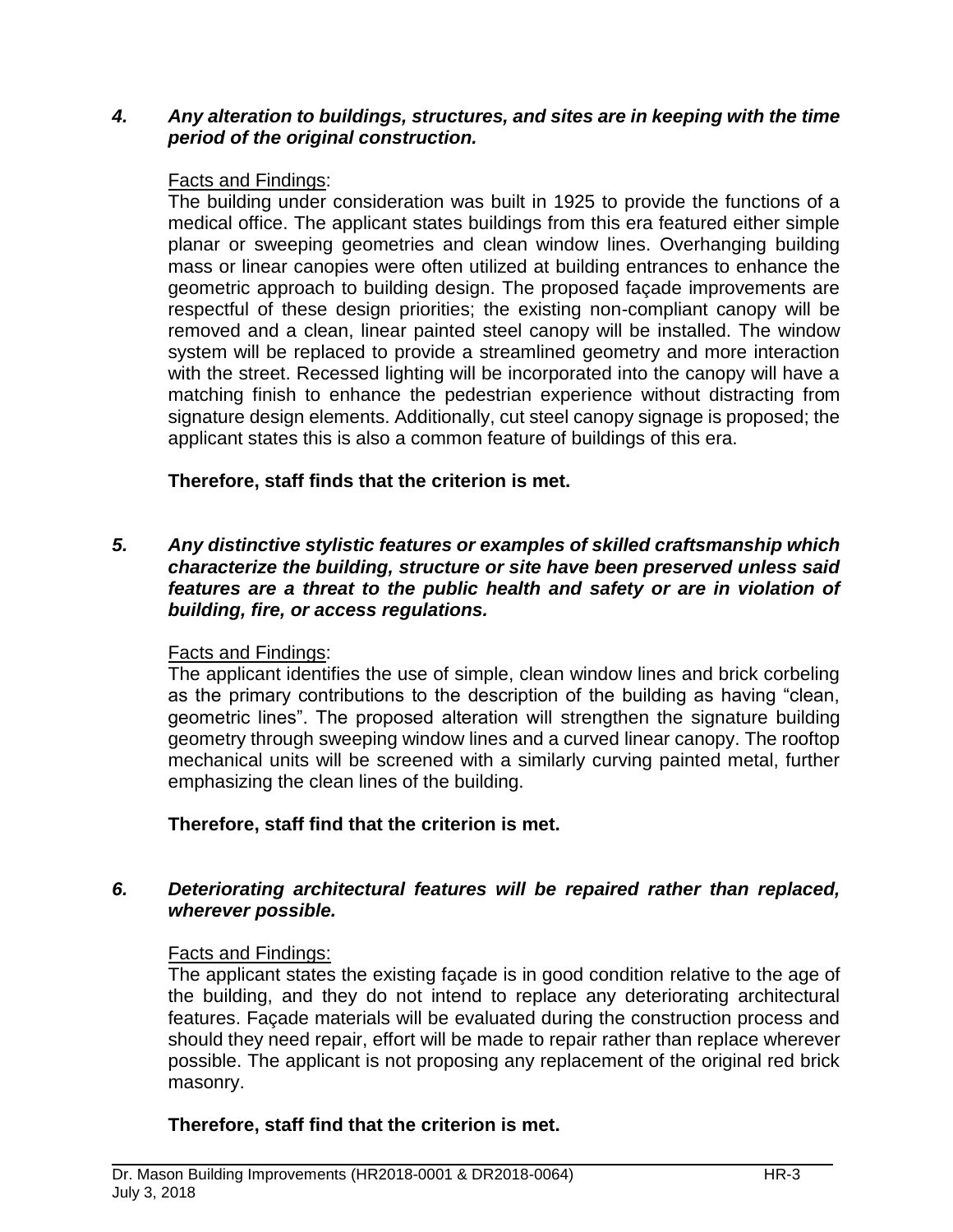#### *4. Any alteration to buildings, structures, and sites are in keeping with the time period of the original construction.*

#### Facts and Findings:

The building under consideration was built in 1925 to provide the functions of a medical office. The applicant states buildings from this era featured either simple planar or sweeping geometries and clean window lines. Overhanging building mass or linear canopies were often utilized at building entrances to enhance the geometric approach to building design. The proposed façade improvements are respectful of these design priorities; the existing non-compliant canopy will be removed and a clean, linear painted steel canopy will be installed. The window system will be replaced to provide a streamlined geometry and more interaction with the street. Recessed lighting will be incorporated into the canopy will have a matching finish to enhance the pedestrian experience without distracting from signature design elements. Additionally, cut steel canopy signage is proposed; the applicant states this is also a common feature of buildings of this era.

# **Therefore, staff finds that the criterion is met.**

#### *5. Any distinctive stylistic features or examples of skilled craftsmanship which characterize the building, structure or site have been preserved unless said features are a threat to the public health and safety or are in violation of building, fire, or access regulations.*

#### Facts and Findings:

The applicant identifies the use of simple, clean window lines and brick corbeling as the primary contributions to the description of the building as having "clean, geometric lines". The proposed alteration will strengthen the signature building geometry through sweeping window lines and a curved linear canopy. The rooftop mechanical units will be screened with a similarly curving painted metal, further emphasizing the clean lines of the building.

# **Therefore, staff find that the criterion is met.**

## *6. Deteriorating architectural features will be repaired rather than replaced, wherever possible.*

#### Facts and Findings:

The applicant states the existing façade is in good condition relative to the age of the building, and they do not intend to replace any deteriorating architectural features. Façade materials will be evaluated during the construction process and should they need repair, effort will be made to repair rather than replace wherever possible. The applicant is not proposing any replacement of the original red brick masonry.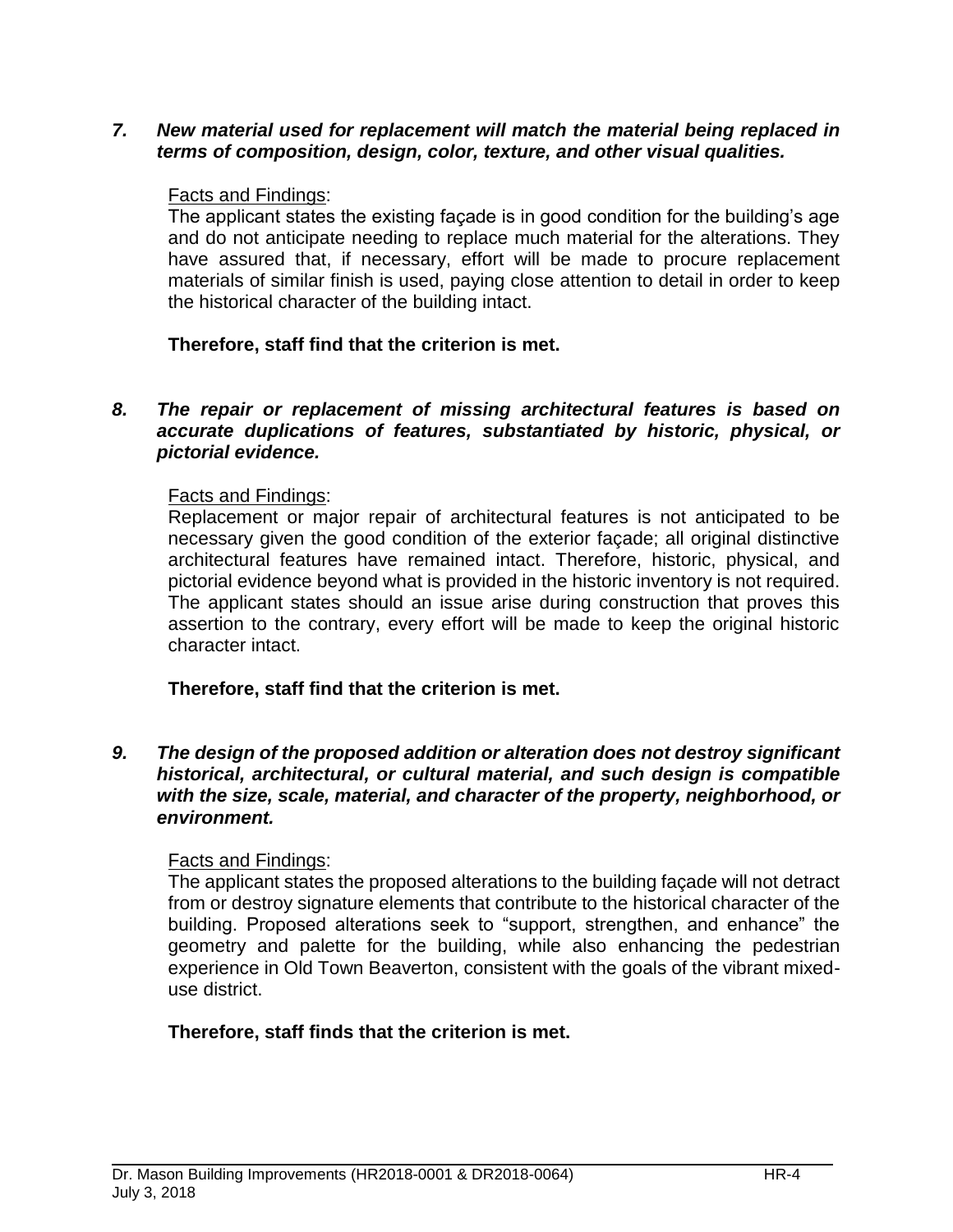*7. New material used for replacement will match the material being replaced in terms of composition, design, color, texture, and other visual qualities.*

#### Facts and Findings:

The applicant states the existing façade is in good condition for the building's age and do not anticipate needing to replace much material for the alterations. They have assured that, if necessary, effort will be made to procure replacement materials of similar finish is used, paying close attention to detail in order to keep the historical character of the building intact.

# **Therefore, staff find that the criterion is met.**

#### *8. The repair or replacement of missing architectural features is based on accurate duplications of features, substantiated by historic, physical, or pictorial evidence.*

## Facts and Findings:

Replacement or major repair of architectural features is not anticipated to be necessary given the good condition of the exterior façade; all original distinctive architectural features have remained intact. Therefore, historic, physical, and pictorial evidence beyond what is provided in the historic inventory is not required. The applicant states should an issue arise during construction that proves this assertion to the contrary, every effort will be made to keep the original historic character intact.

**Therefore, staff find that the criterion is met.**

*9. The design of the proposed addition or alteration does not destroy significant historical, architectural, or cultural material, and such design is compatible with the size, scale, material, and character of the property, neighborhood, or environment.*

# Facts and Findings:

The applicant states the proposed alterations to the building façade will not detract from or destroy signature elements that contribute to the historical character of the building. Proposed alterations seek to "support, strengthen, and enhance" the geometry and palette for the building, while also enhancing the pedestrian experience in Old Town Beaverton, consistent with the goals of the vibrant mixeduse district.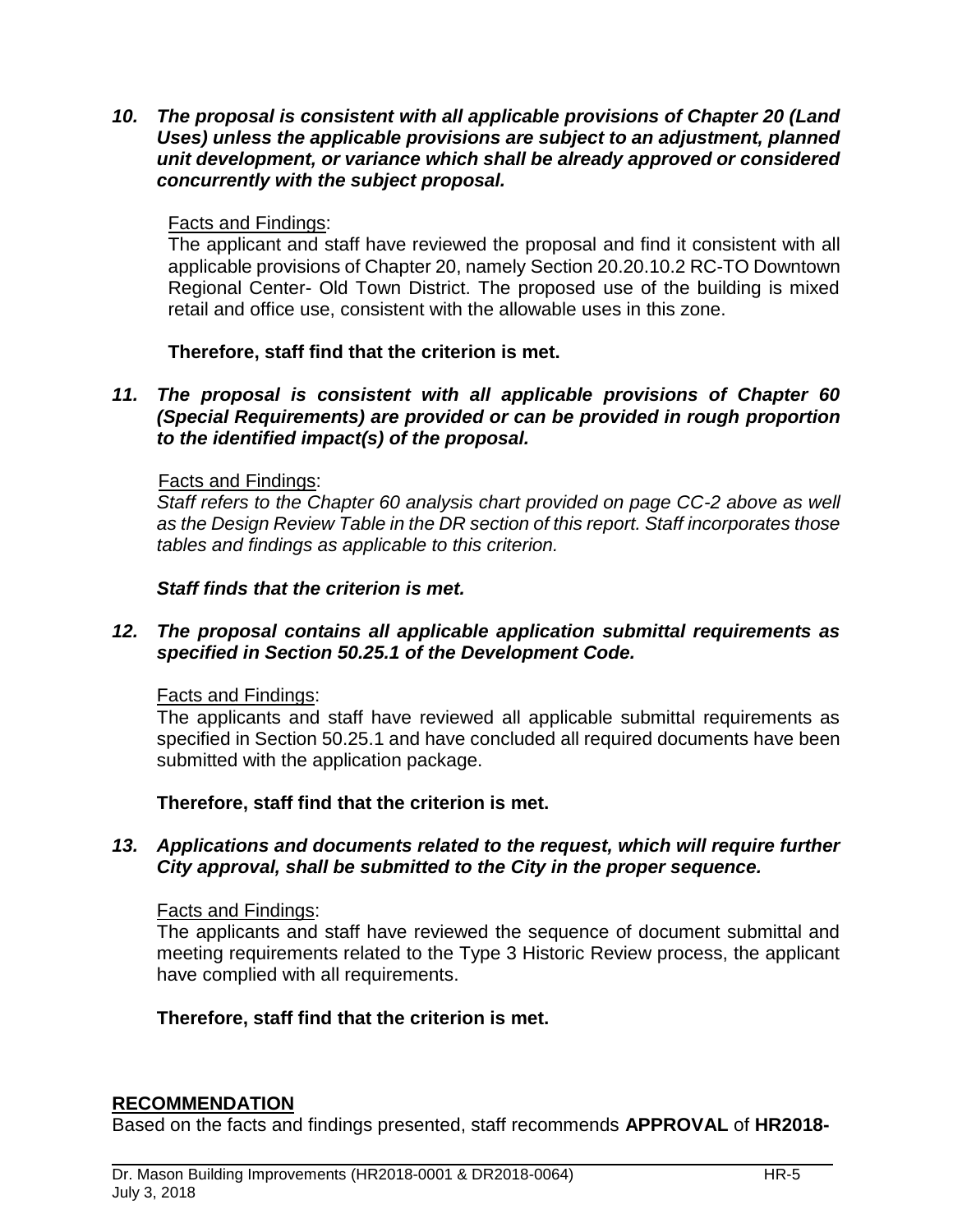*10. The proposal is consistent with all applicable provisions of Chapter 20 (Land Uses) unless the applicable provisions are subject to an adjustment, planned unit development, or variance which shall be already approved or considered concurrently with the subject proposal.*

## Facts and Findings:

The applicant and staff have reviewed the proposal and find it consistent with all applicable provisions of Chapter 20, namely Section 20.20.10.2 RC-TO Downtown Regional Center- Old Town District. The proposed use of the building is mixed retail and office use, consistent with the allowable uses in this zone.

## **Therefore, staff find that the criterion is met.**

#### *11. The proposal is consistent with all applicable provisions of Chapter 60 (Special Requirements) are provided or can be provided in rough proportion to the identified impact(s) of the proposal.*

#### Facts and Findings:

*Staff refers to the Chapter 60 analysis chart provided on page CC-2 above as well as the Design Review Table in the DR section of this report. Staff incorporates those tables and findings as applicable to this criterion.* 

#### *Staff finds that the criterion is met.*

#### *12. The proposal contains all applicable application submittal requirements as specified in Section 50.25.1 of the Development Code.*

#### Facts and Findings:

The applicants and staff have reviewed all applicable submittal requirements as specified in Section 50.25.1 and have concluded all required documents have been submitted with the application package.

#### **Therefore, staff find that the criterion is met.**

#### *13. Applications and documents related to the request, which will require further City approval, shall be submitted to the City in the proper sequence.*

#### Facts and Findings:

The applicants and staff have reviewed the sequence of document submittal and meeting requirements related to the Type 3 Historic Review process, the applicant have complied with all requirements.

#### **Therefore, staff find that the criterion is met.**

#### **RECOMMENDATION**

Based on the facts and findings presented, staff recommends **APPROVAL** of **HR2018-**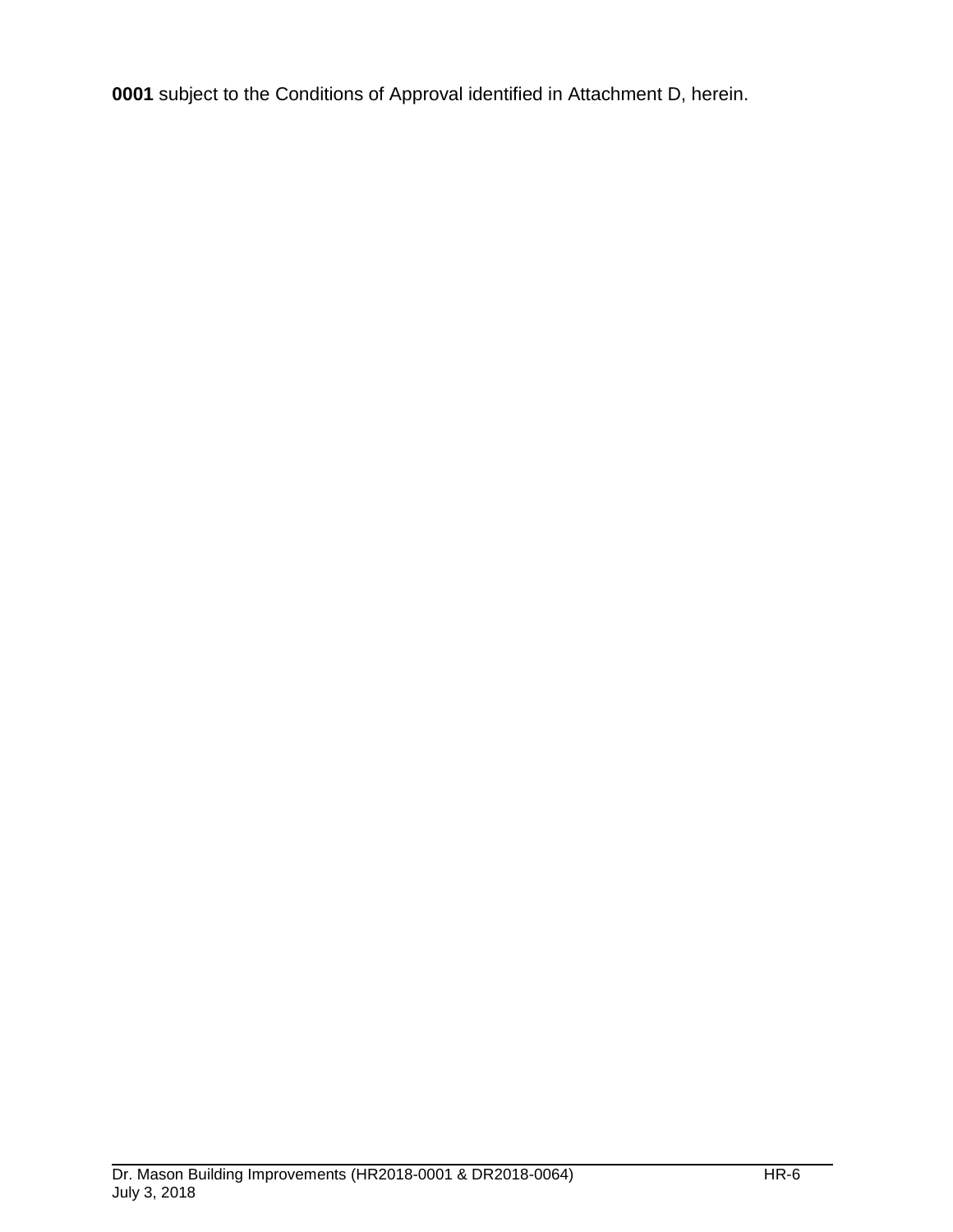**0001** subject to the Conditions of Approval identified in Attachment D, herein.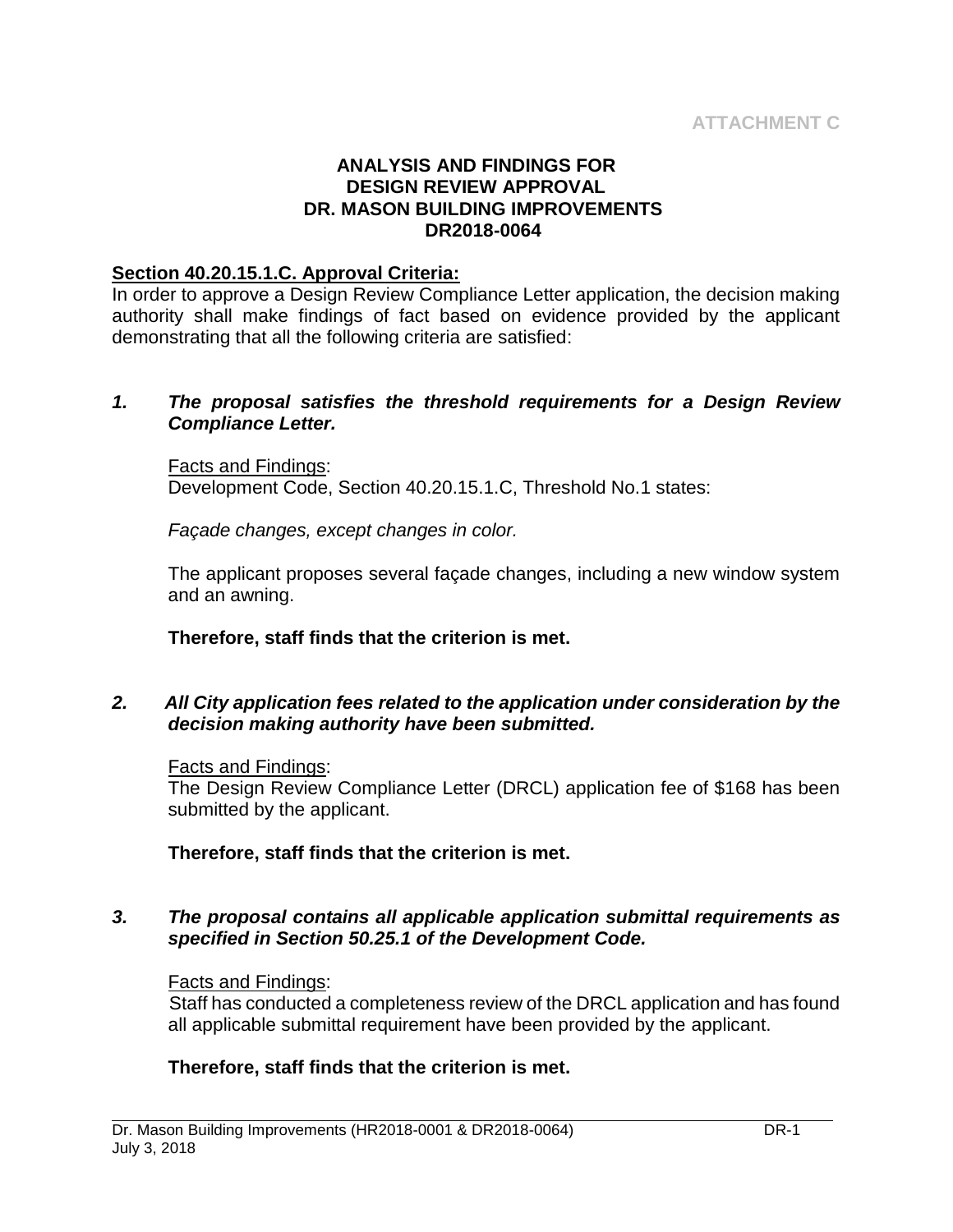#### **ANALYSIS AND FINDINGS FOR DESIGN REVIEW APPROVAL DR. MASON BUILDING IMPROVEMENTS DR2018-0064**

#### **Section 40.20.15.1.C. Approval Criteria:**

In order to approve a Design Review Compliance Letter application, the decision making authority shall make findings of fact based on evidence provided by the applicant demonstrating that all the following criteria are satisfied:

#### *1. The proposal satisfies the threshold requirements for a Design Review Compliance Letter.*

Facts and Findings: Development Code, Section 40.20.15.1.C, Threshold No.1 states:

*Façade changes, except changes in color.*

The applicant proposes several façade changes, including a new window system and an awning.

**Therefore, staff finds that the criterion is met.**

## *2. All City application fees related to the application under consideration by the decision making authority have been submitted.*

#### Facts and Findings:

The Design Review Compliance Letter (DRCL) application fee of \$168 has been submitted by the applicant.

**Therefore, staff finds that the criterion is met.**

#### *3. The proposal contains all applicable application submittal requirements as specified in Section 50.25.1 of the Development Code.*

#### Facts and Findings:

Staff has conducted a completeness review of the DRCL application and has found all applicable submittal requirement have been provided by the applicant.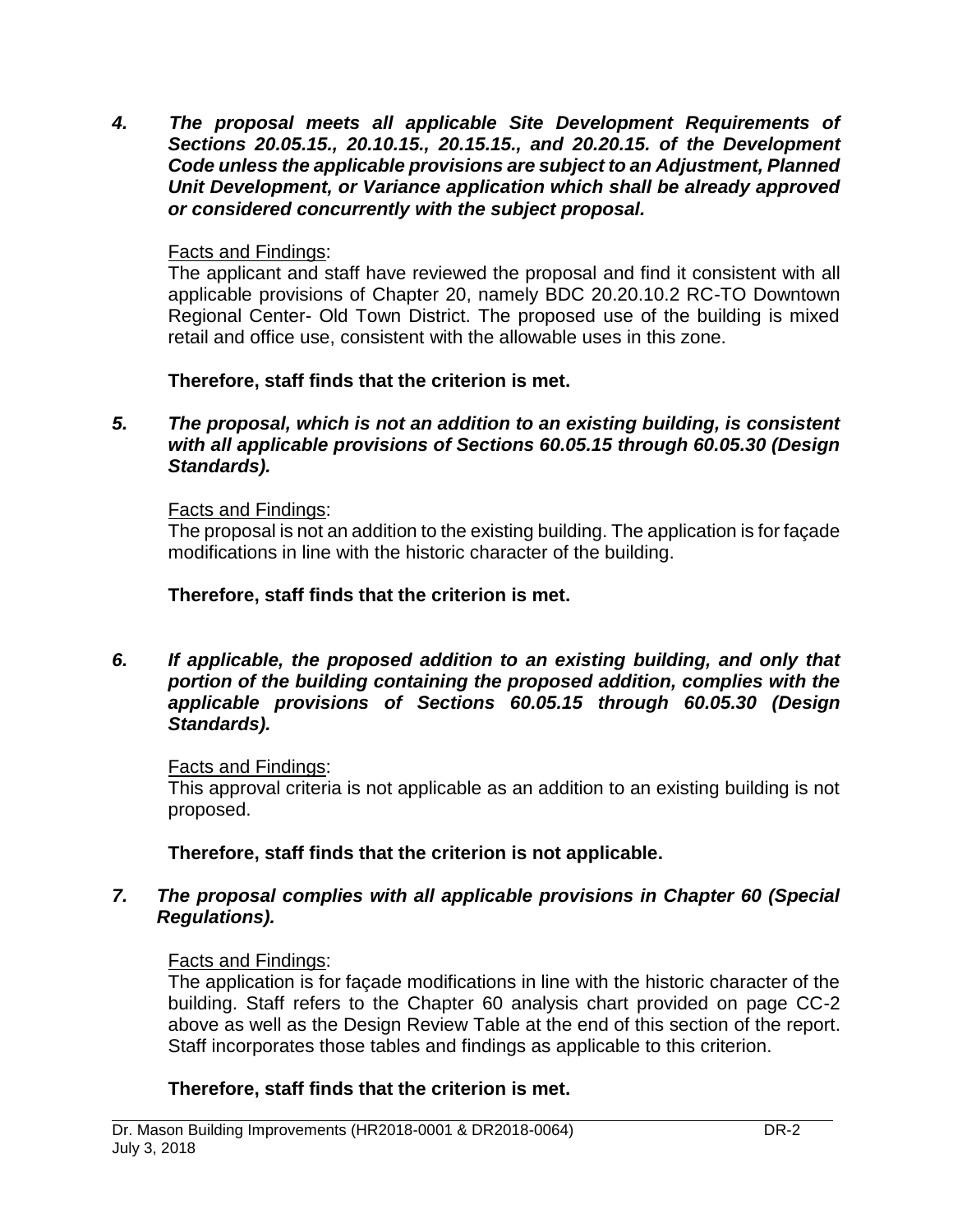*4. The proposal meets all applicable Site Development Requirements of Sections 20.05.15., 20.10.15., 20.15.15., and 20.20.15. of the Development Code unless the applicable provisions are subject to an Adjustment, Planned Unit Development, or Variance application which shall be already approved or considered concurrently with the subject proposal.*

# Facts and Findings:

The applicant and staff have reviewed the proposal and find it consistent with all applicable provisions of Chapter 20, namely BDC 20.20.10.2 RC-TO Downtown Regional Center- Old Town District. The proposed use of the building is mixed retail and office use, consistent with the allowable uses in this zone.

**Therefore, staff finds that the criterion is met.**

*5. The proposal, which is not an addition to an existing building, is consistent with all applicable provisions of Sections 60.05.15 through 60.05.30 (Design Standards).*

# Facts and Findings:

The proposal is not an addition to the existing building. The application is for façade modifications in line with the historic character of the building.

# **Therefore, staff finds that the criterion is met.**

#### *6. If applicable, the proposed addition to an existing building, and only that portion of the building containing the proposed addition, complies with the applicable provisions of Sections 60.05.15 through 60.05.30 (Design Standards).*

# Facts and Findings:

This approval criteria is not applicable as an addition to an existing building is not proposed.

**Therefore, staff finds that the criterion is not applicable.**

# *7. The proposal complies with all applicable provisions in Chapter 60 (Special Regulations).*

# Facts and Findings:

The application is for façade modifications in line with the historic character of the building. Staff refers to the Chapter 60 analysis chart provided on page CC-2 above as well as the Design Review Table at the end of this section of the report. Staff incorporates those tables and findings as applicable to this criterion.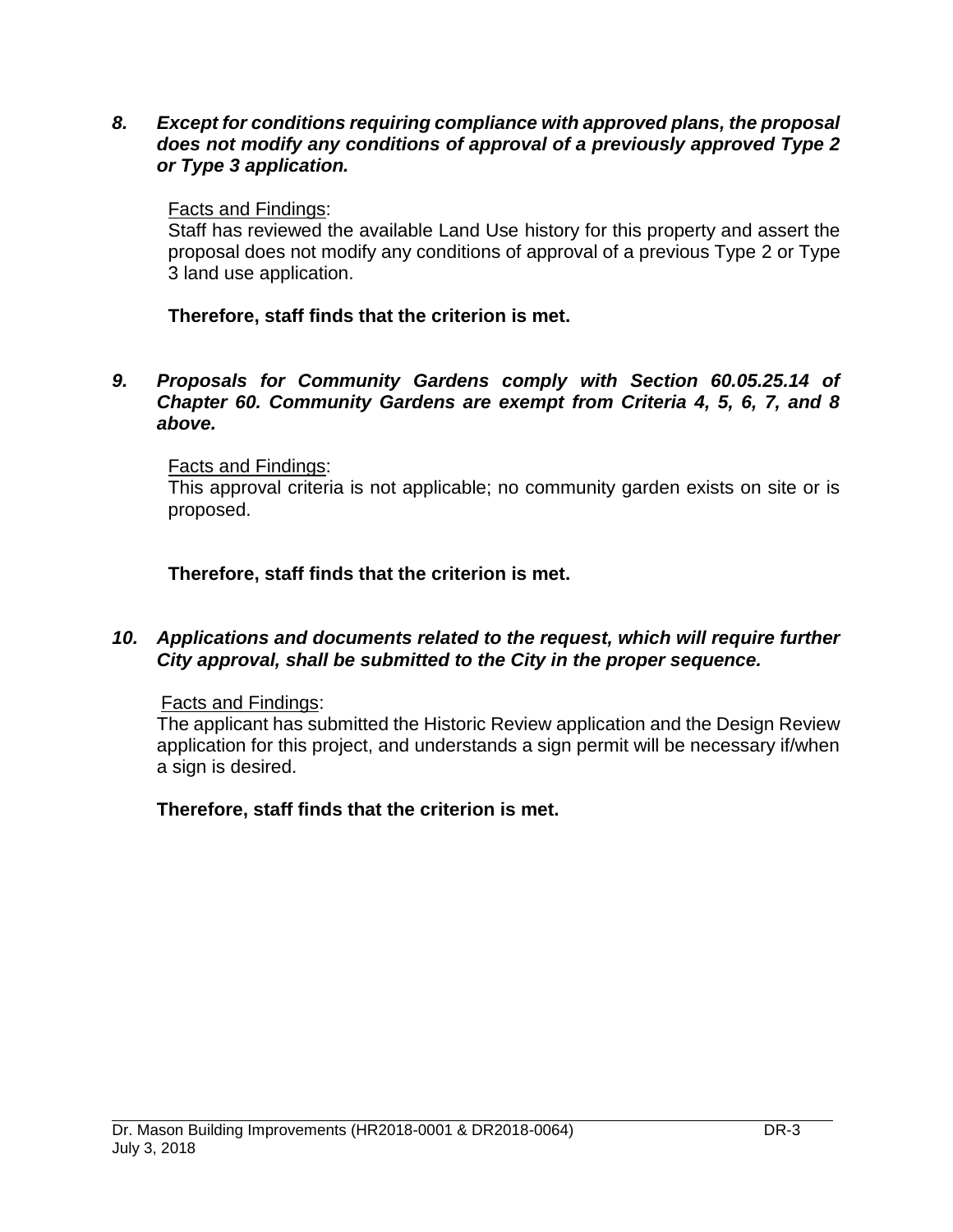*8. Except for conditions requiring compliance with approved plans, the proposal does not modify any conditions of approval of a previously approved Type 2 or Type 3 application.*

#### Facts and Findings:

Staff has reviewed the available Land Use history for this property and assert the proposal does not modify any conditions of approval of a previous Type 2 or Type 3 land use application.

## **Therefore, staff finds that the criterion is met.**

#### *9. Proposals for Community Gardens comply with Section 60.05.25.14 of Chapter 60. Community Gardens are exempt from Criteria 4, 5, 6, 7, and 8 above.*

#### Facts and Findings:

This approval criteria is not applicable; no community garden exists on site or is proposed.

**Therefore, staff finds that the criterion is met.**

#### *10. Applications and documents related to the request, which will require further City approval, shall be submitted to the City in the proper sequence.*

#### Facts and Findings:

The applicant has submitted the Historic Review application and the Design Review application for this project, and understands a sign permit will be necessary if/when a sign is desired.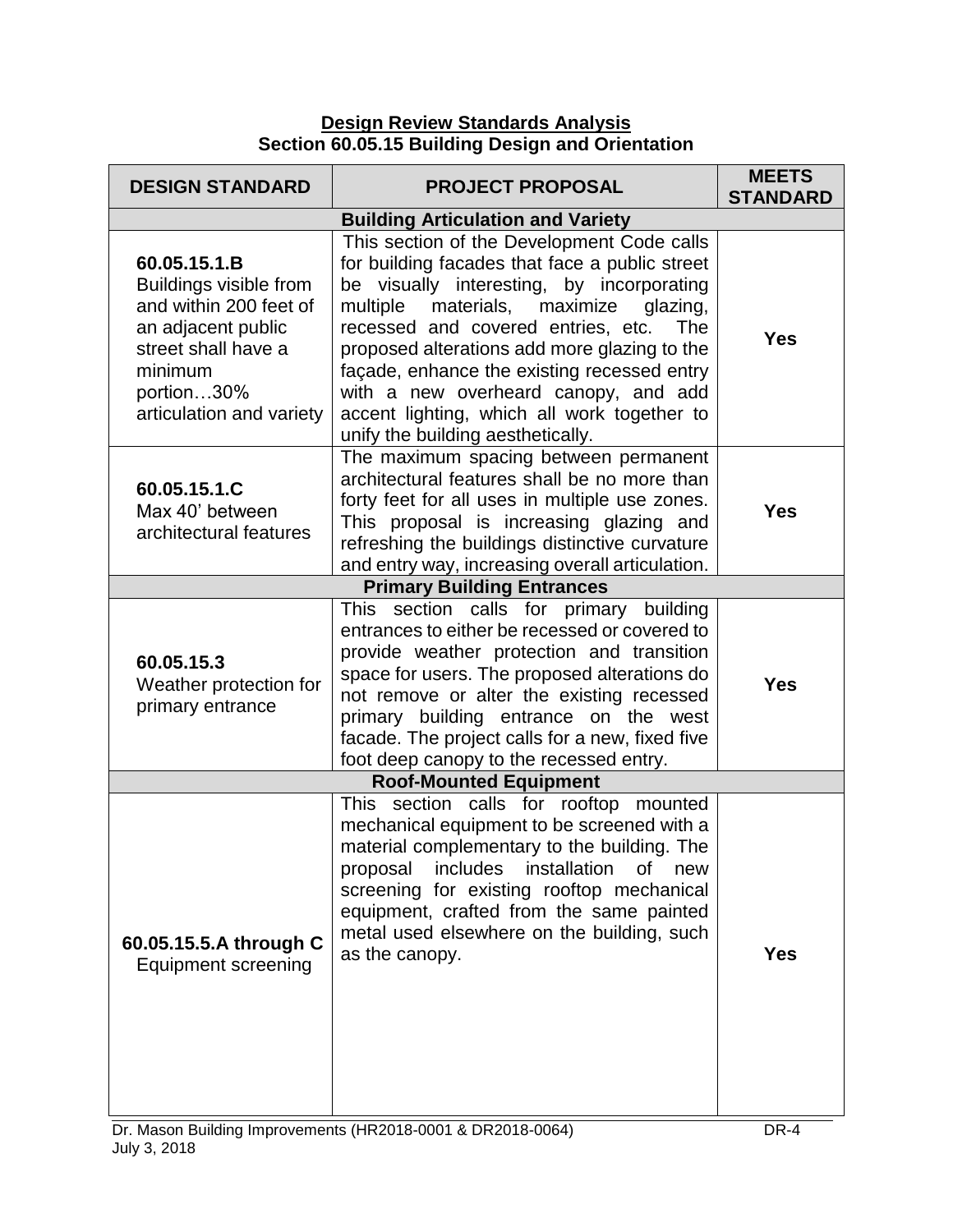**Design Review Standards Analysis Section 60.05.15 Building Design and Orientation**

| <b>DESIGN STANDARD</b>                                                                                                                                             | <b>PROJECT PROPOSAL</b>                                                                                                                                                                                                                                                                                                                                                                                                                                          | <b>MEETS</b><br><b>STANDARD</b> |
|--------------------------------------------------------------------------------------------------------------------------------------------------------------------|------------------------------------------------------------------------------------------------------------------------------------------------------------------------------------------------------------------------------------------------------------------------------------------------------------------------------------------------------------------------------------------------------------------------------------------------------------------|---------------------------------|
|                                                                                                                                                                    | <b>Building Articulation and Variety</b>                                                                                                                                                                                                                                                                                                                                                                                                                         |                                 |
| 60.05.15.1.B<br>Buildings visible from<br>and within 200 feet of<br>an adjacent public<br>street shall have a<br>minimum<br>portion30%<br>articulation and variety | This section of the Development Code calls<br>for building facades that face a public street<br>be visually interesting, by incorporating<br>multiple<br>materials, maximize<br>glazing,<br>recessed and covered entries, etc.<br>The<br>proposed alterations add more glazing to the<br>façade, enhance the existing recessed entry<br>with a new overheard canopy, and add<br>accent lighting, which all work together to<br>unify the building aesthetically. | <b>Yes</b>                      |
| 60.05.15.1.C<br>Max 40' between<br>architectural features                                                                                                          | The maximum spacing between permanent<br>architectural features shall be no more than<br>forty feet for all uses in multiple use zones.<br>This proposal is increasing glazing and<br>refreshing the buildings distinctive curvature<br>and entry way, increasing overall articulation.                                                                                                                                                                          | <b>Yes</b>                      |
|                                                                                                                                                                    | <b>Primary Building Entrances</b>                                                                                                                                                                                                                                                                                                                                                                                                                                |                                 |
| 60.05.15.3<br>Weather protection for<br>primary entrance                                                                                                           | This section calls for primary building<br>entrances to either be recessed or covered to<br>provide weather protection and transition<br>space for users. The proposed alterations do<br>not remove or alter the existing recessed<br>primary building entrance on the west<br>facade. The project calls for a new, fixed five<br>foot deep canopy to the recessed entry.                                                                                        | <b>Yes</b>                      |
|                                                                                                                                                                    | <b>Roof-Mounted Equipment</b>                                                                                                                                                                                                                                                                                                                                                                                                                                    |                                 |
| 60.05.15.5.A through C<br><b>Equipment screening</b>                                                                                                               | This section calls for rooftop mounted<br>mechanical equipment to be screened with a<br>material complementary to the building. The<br>includes<br>installation<br>proposal<br>οf<br>new<br>screening for existing rooftop mechanical<br>equipment, crafted from the same painted<br>metal used elsewhere on the building, such<br>as the canopy.                                                                                                                | <b>Yes</b>                      |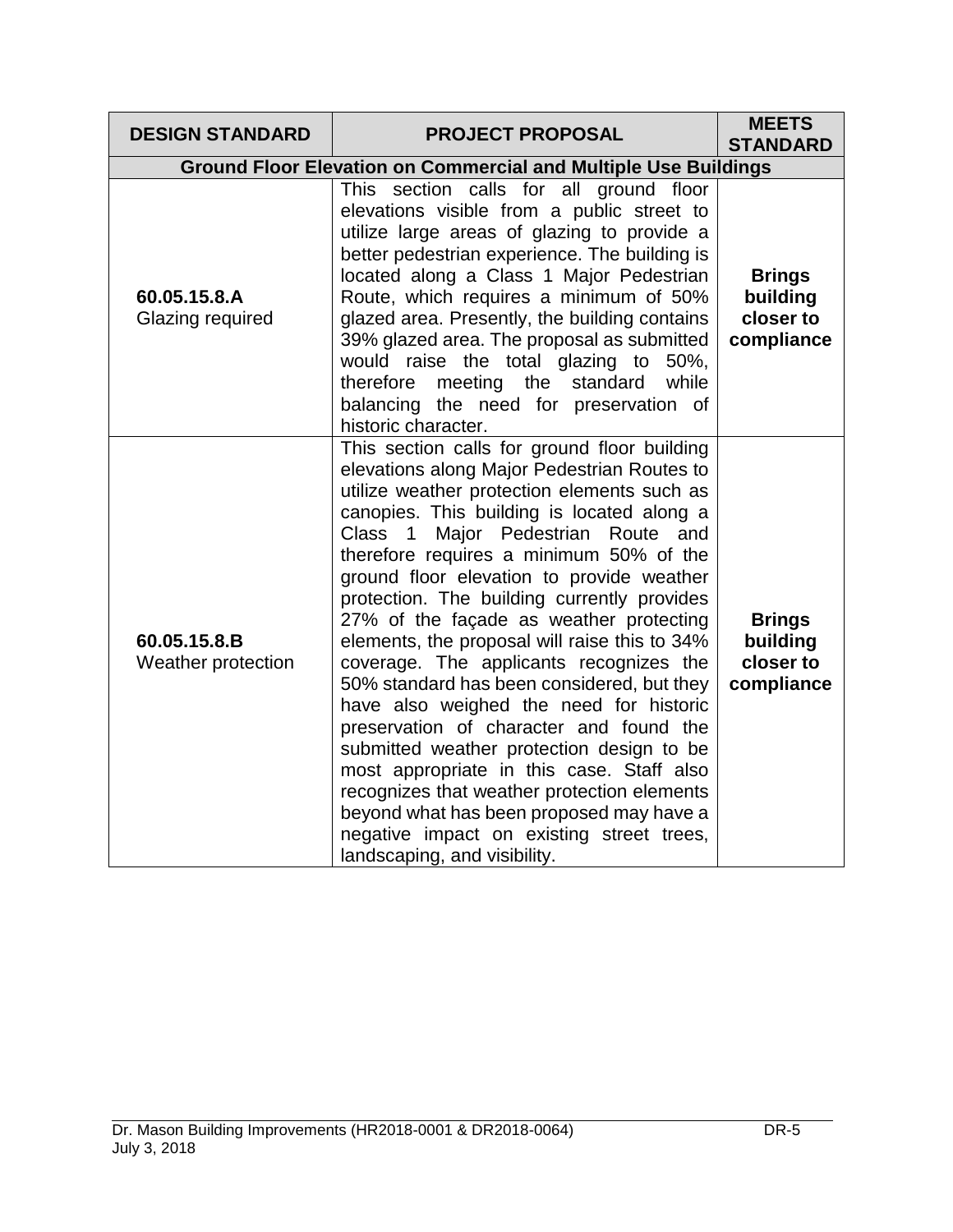| <b>DESIGN STANDARD</b>             | <b>PROJECT PROPOSAL</b>                                                                                                                                                                                                                                                                                                                                                                                                                                                                                                                                                                                                                                                                                                                                                                                                                                                                                               | <b>MEETS</b><br><b>STANDARD</b>                      |
|------------------------------------|-----------------------------------------------------------------------------------------------------------------------------------------------------------------------------------------------------------------------------------------------------------------------------------------------------------------------------------------------------------------------------------------------------------------------------------------------------------------------------------------------------------------------------------------------------------------------------------------------------------------------------------------------------------------------------------------------------------------------------------------------------------------------------------------------------------------------------------------------------------------------------------------------------------------------|------------------------------------------------------|
|                                    | <b>Ground Floor Elevation on Commercial and Multiple Use Buildings</b>                                                                                                                                                                                                                                                                                                                                                                                                                                                                                                                                                                                                                                                                                                                                                                                                                                                |                                                      |
| 60.05.15.8.A<br>Glazing required   | This section calls for all ground floor<br>elevations visible from a public street to<br>utilize large areas of glazing to provide a<br>better pedestrian experience. The building is<br>located along a Class 1 Major Pedestrian<br>Route, which requires a minimum of 50%<br>glazed area. Presently, the building contains<br>39% glazed area. The proposal as submitted<br>would raise the total glazing to 50%,<br>therefore meeting the standard while<br>balancing the need for preservation of<br>historic character.                                                                                                                                                                                                                                                                                                                                                                                          | <b>Brings</b><br>building<br>closer to<br>compliance |
| 60.05.15.8.B<br>Weather protection | This section calls for ground floor building<br>elevations along Major Pedestrian Routes to<br>utilize weather protection elements such as<br>canopies. This building is located along a<br>Major Pedestrian Route and<br>Class 1<br>therefore requires a minimum 50% of the<br>ground floor elevation to provide weather<br>protection. The building currently provides<br>27% of the façade as weather protecting<br>elements, the proposal will raise this to 34%<br>coverage. The applicants recognizes the<br>50% standard has been considered, but they<br>have also weighed the need for historic<br>preservation of character and found the<br>submitted weather protection design to be<br>most appropriate in this case. Staff also<br>recognizes that weather protection elements<br>beyond what has been proposed may have a<br>negative impact on existing street trees,<br>landscaping, and visibility. | <b>Brings</b><br>building<br>closer to<br>compliance |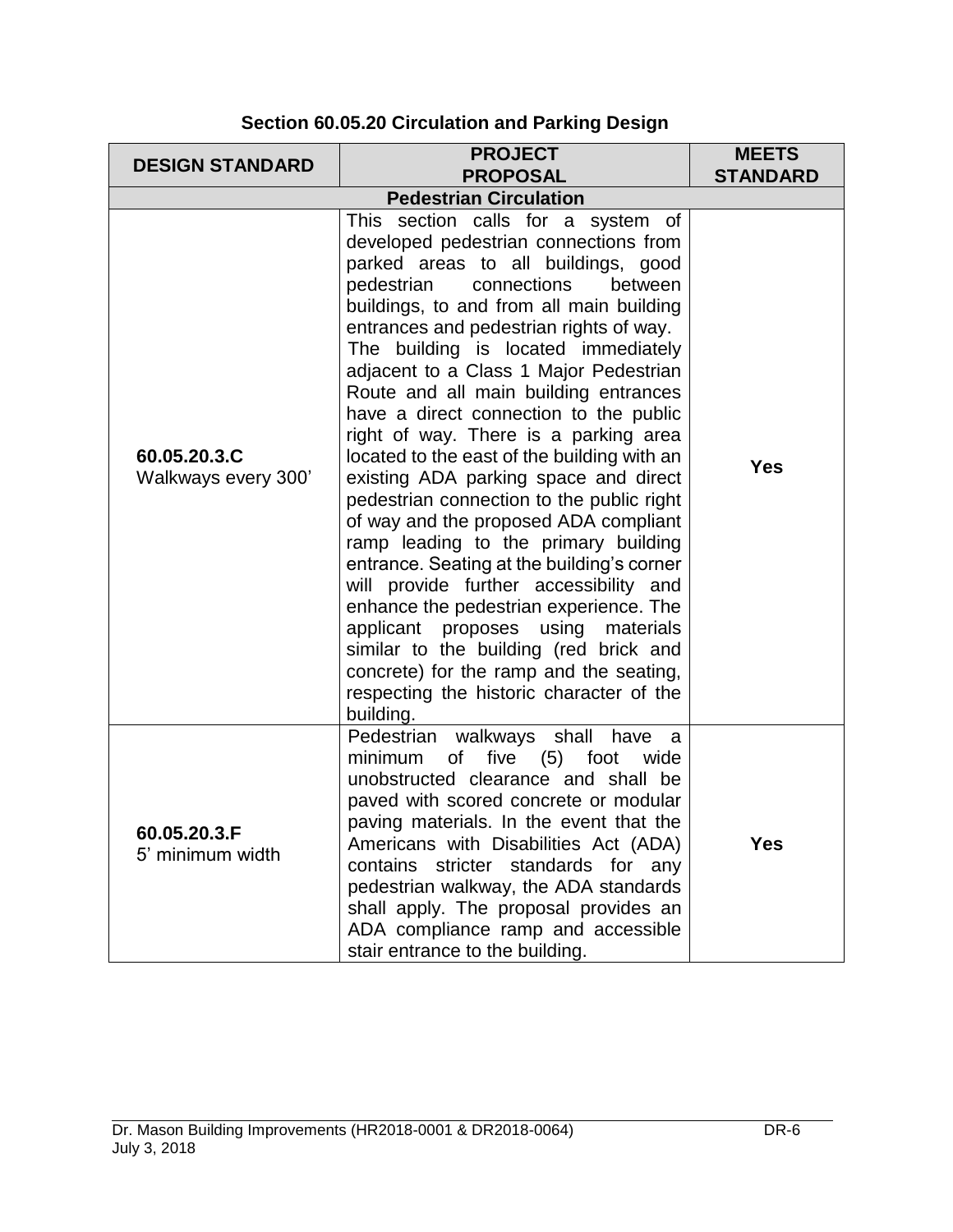| <b>DESIGN STANDARD</b>              | <b>PROJECT</b><br><b>PROPOSAL</b>                                                                                                                                                                                                                                                                                                                                                                                                                                                                                                                                                                                                                                                                                                                                                                                                                                                                                                                                                                          | <b>MEETS</b><br><b>STANDARD</b> |
|-------------------------------------|------------------------------------------------------------------------------------------------------------------------------------------------------------------------------------------------------------------------------------------------------------------------------------------------------------------------------------------------------------------------------------------------------------------------------------------------------------------------------------------------------------------------------------------------------------------------------------------------------------------------------------------------------------------------------------------------------------------------------------------------------------------------------------------------------------------------------------------------------------------------------------------------------------------------------------------------------------------------------------------------------------|---------------------------------|
|                                     | <b>Pedestrian Circulation</b>                                                                                                                                                                                                                                                                                                                                                                                                                                                                                                                                                                                                                                                                                                                                                                                                                                                                                                                                                                              |                                 |
| 60.05.20.3.C<br>Walkways every 300' | This section calls for a system of<br>developed pedestrian connections from<br>parked areas to all buildings, good<br>pedestrian<br>connections<br>between<br>buildings, to and from all main building<br>entrances and pedestrian rights of way.<br>The building is located immediately<br>adjacent to a Class 1 Major Pedestrian<br>Route and all main building entrances<br>have a direct connection to the public<br>right of way. There is a parking area<br>located to the east of the building with an<br>existing ADA parking space and direct<br>pedestrian connection to the public right<br>of way and the proposed ADA compliant<br>ramp leading to the primary building<br>entrance. Seating at the building's corner<br>will provide further accessibility and<br>enhance the pedestrian experience. The<br>applicant proposes using materials<br>similar to the building (red brick and<br>concrete) for the ramp and the seating,<br>respecting the historic character of the<br>building. | <b>Yes</b>                      |
| 60.05.20.3.F<br>5' minimum width    | Pedestrian walkways shall have<br>- a<br>minimum<br>five $(5)$<br>foot<br>of<br>wide<br>unobstructed clearance and shall be<br>paved with scored concrete or modular<br>paving materials. In the event that the<br>Americans with Disabilities Act (ADA)<br>contains stricter standards for any<br>pedestrian walkway, the ADA standards<br>shall apply. The proposal provides an<br>ADA compliance ramp and accessible<br>stair entrance to the building.                                                                                                                                                                                                                                                                                                                                                                                                                                                                                                                                                 | Yes                             |

# **Section 60.05.20 Circulation and Parking Design**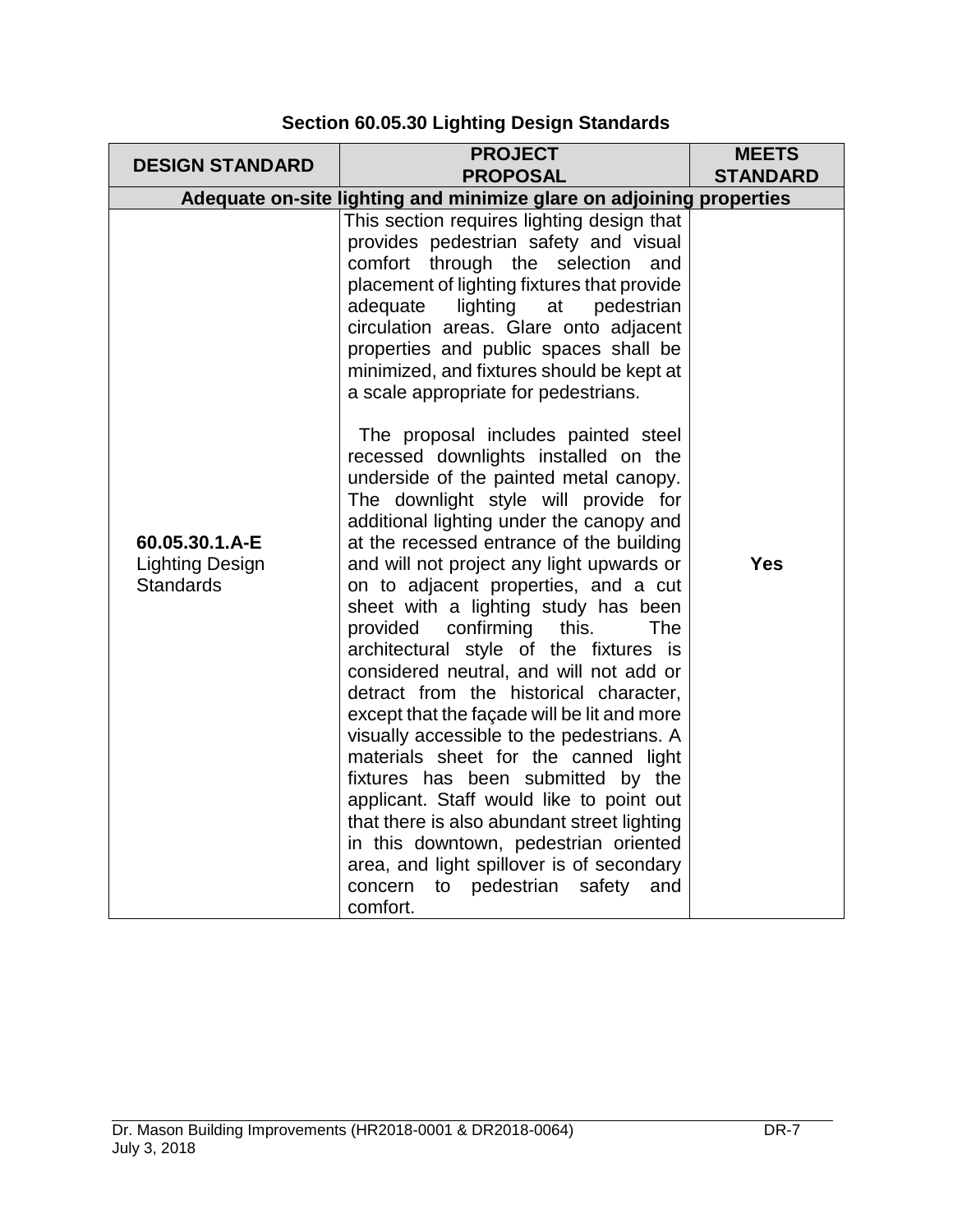| <b>DESIGN STANDARD</b>                                       | <b>PROJECT</b><br><b>PROPOSAL</b>                                                                                                                                                                                                                                                                                                                                                                                                                                                                                                                                                                                                                                                                                                                                                                                                                                                                                                                                                                                                                                                                                                                                                                                                                                                                                                                                                     | <b>MEETS</b><br><b>STANDARD</b> |
|--------------------------------------------------------------|---------------------------------------------------------------------------------------------------------------------------------------------------------------------------------------------------------------------------------------------------------------------------------------------------------------------------------------------------------------------------------------------------------------------------------------------------------------------------------------------------------------------------------------------------------------------------------------------------------------------------------------------------------------------------------------------------------------------------------------------------------------------------------------------------------------------------------------------------------------------------------------------------------------------------------------------------------------------------------------------------------------------------------------------------------------------------------------------------------------------------------------------------------------------------------------------------------------------------------------------------------------------------------------------------------------------------------------------------------------------------------------|---------------------------------|
|                                                              | Adequate on-site lighting and minimize glare on adjoining properties                                                                                                                                                                                                                                                                                                                                                                                                                                                                                                                                                                                                                                                                                                                                                                                                                                                                                                                                                                                                                                                                                                                                                                                                                                                                                                                  |                                 |
| 60.05.30.1.A-E<br><b>Lighting Design</b><br><b>Standards</b> | This section requires lighting design that<br>provides pedestrian safety and visual<br>comfort through the selection and<br>placement of lighting fixtures that provide<br>lighting<br>adequate<br>at<br>pedestrian<br>circulation areas. Glare onto adjacent<br>properties and public spaces shall be<br>minimized, and fixtures should be kept at<br>a scale appropriate for pedestrians.<br>The proposal includes painted steel<br>recessed downlights installed on the<br>underside of the painted metal canopy.<br>The downlight style will provide for<br>additional lighting under the canopy and<br>at the recessed entrance of the building<br>and will not project any light upwards or<br>on to adjacent properties, and a cut<br>sheet with a lighting study has been<br>provided<br>confirming<br>this.<br><b>The</b><br>architectural style of the fixtures is<br>considered neutral, and will not add or<br>detract from the historical character,<br>except that the façade will be lit and more<br>visually accessible to the pedestrians. A<br>materials sheet for the canned light<br>fixtures has been submitted by the<br>applicant. Staff would like to point out<br>that there is also abundant street lighting<br>in this downtown, pedestrian oriented<br>area, and light spillover is of secondary<br>to pedestrian<br>concern<br>safety<br>and<br>comfort. | <b>Yes</b>                      |

# **Section 60.05.30 Lighting Design Standards**